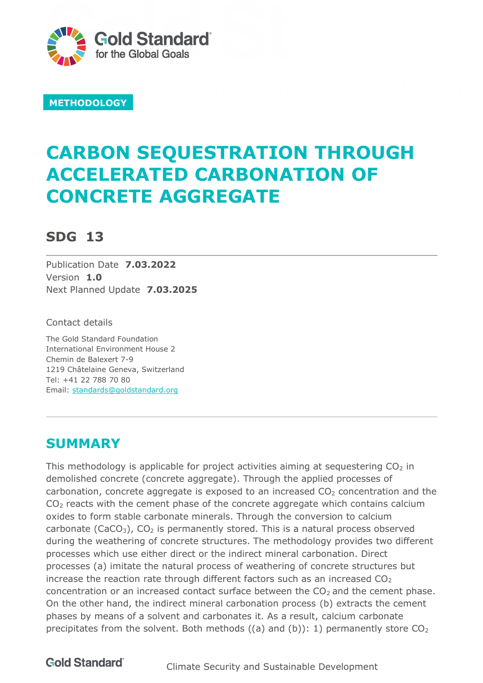

**METHODOLOGY**

# **CARBON SEQUESTRATION THROUGH ACCELERATED CARBONATION OF CONCRETE AGGREGATE**

# **SDG 13**

Publication Date **7.03.2022** Version **1.0** Next Planned Update **7.03.2025**

Contact details

The Gold Standard Foundation International Environment House 2 Chemin de Balexert 7-9 1219 Châtelaine Geneva, Switzerland Tel: +41 22 788 70 80 Email: [standards@goldstandard.org](mailto:standards@goldstandard.org)

# <span id="page-0-0"></span>**SUMMARY**

This methodology is applicable for project activities aiming at sequestering  $CO<sub>2</sub>$  in demolished concrete (concrete aggregate). Through the applied processes of carbonation, concrete aggregate is exposed to an increased  $CO<sub>2</sub>$  concentration and the CO<sup>2</sup> reacts with the cement phase of the concrete aggregate which contains calcium oxides to form stable carbonate minerals. Through the conversion to calcium carbonate (CaCO<sub>3</sub>), CO<sub>2</sub> is permanently stored. This is a natural process observed during the weathering of concrete structures. The methodology provides two different processes which use either direct or the indirect mineral carbonation. Direct processes (a) imitate the natural process of weathering of concrete structures but increase the reaction rate through different factors such as an increased  $CO<sub>2</sub>$ concentration or an increased contact surface between the  $CO<sub>2</sub>$  and the cement phase. On the other hand, the indirect mineral carbonation process (b) extracts the cement phases by means of a solvent and carbonates it. As a result, calcium carbonate precipitates from the solvent. Both methods  $((a)$  and  $(b))$ : 1) permanently store  $CO<sub>2</sub>$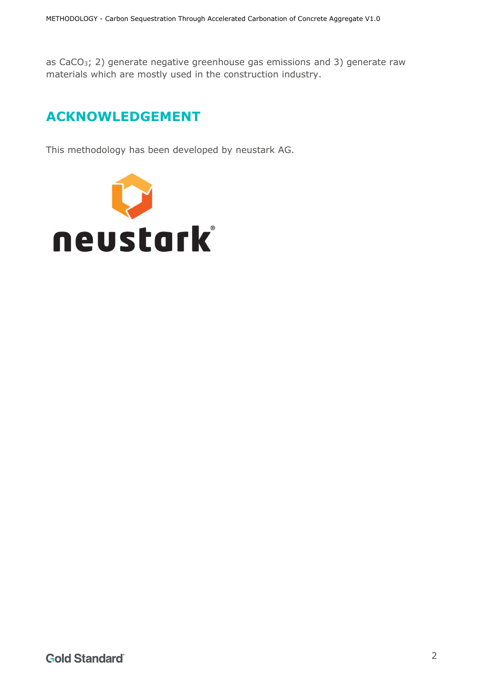as CaCO<sub>3</sub>; 2) generate negative greenhouse gas emissions and 3) generate raw materials which are mostly used in the construction industry.

# <span id="page-1-0"></span>**ACKNOWLEDGEMENT**

This methodology has been developed by neustark AG.

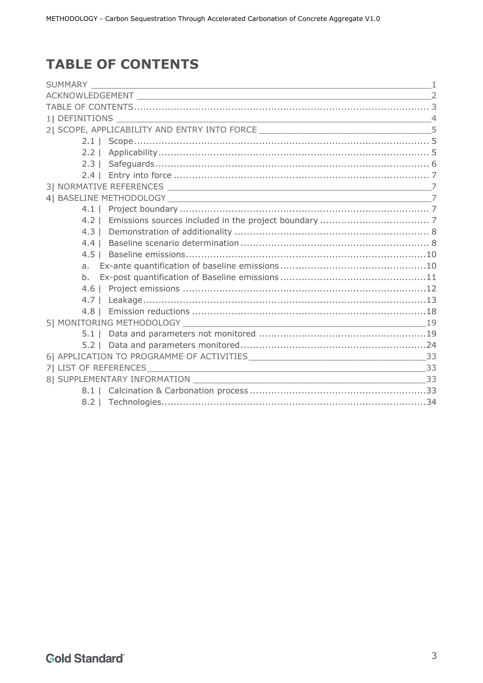# <span id="page-2-0"></span>**TABLE OF CONTENTS**

|             | 2  SCOPE, APPLICABILITY AND ENTRY INTO FORCE ___________________________________5 |  |
|-------------|-----------------------------------------------------------------------------------|--|
|             |                                                                                   |  |
|             |                                                                                   |  |
|             |                                                                                   |  |
|             |                                                                                   |  |
|             |                                                                                   |  |
|             |                                                                                   |  |
|             |                                                                                   |  |
|             |                                                                                   |  |
| $4.3 \perp$ |                                                                                   |  |
|             |                                                                                   |  |
|             |                                                                                   |  |
| a.          |                                                                                   |  |
| b.          |                                                                                   |  |
|             |                                                                                   |  |
|             |                                                                                   |  |
|             |                                                                                   |  |
|             |                                                                                   |  |
|             |                                                                                   |  |
|             |                                                                                   |  |
|             |                                                                                   |  |
|             |                                                                                   |  |
|             |                                                                                   |  |
|             |                                                                                   |  |
|             |                                                                                   |  |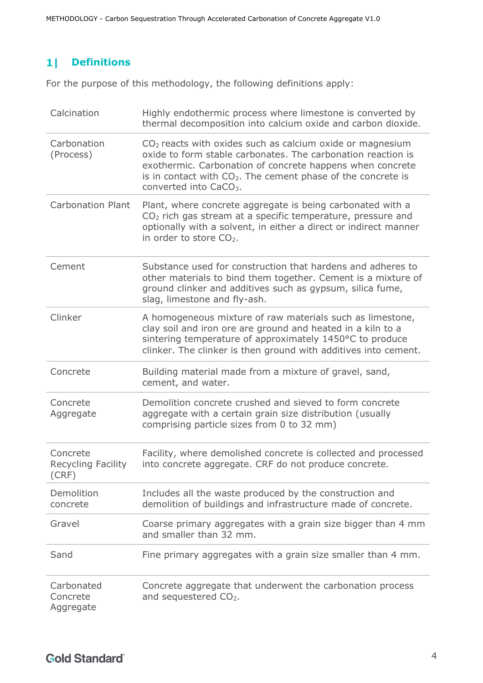#### <span id="page-3-0"></span> $1<sub>1</sub>$ **Definitions**

For the purpose of this methodology, the following definitions apply:

| Calcination                             | Highly endothermic process where limestone is converted by<br>thermal decomposition into calcium oxide and carbon dioxide.                                                                                                                                                                       |
|-----------------------------------------|--------------------------------------------------------------------------------------------------------------------------------------------------------------------------------------------------------------------------------------------------------------------------------------------------|
| Carbonation<br>(Process)                | $CO2$ reacts with oxides such as calcium oxide or magnesium<br>oxide to form stable carbonates. The carbonation reaction is<br>exothermic. Carbonation of concrete happens when concrete<br>is in contact with $CO2$ . The cement phase of the concrete is<br>converted into CaCO <sub>3</sub> . |
| <b>Carbonation Plant</b>                | Plant, where concrete aggregate is being carbonated with a<br>$CO2$ rich gas stream at a specific temperature, pressure and<br>optionally with a solvent, in either a direct or indirect manner<br>in order to store CO <sub>2</sub> .                                                           |
| Cement                                  | Substance used for construction that hardens and adheres to<br>other materials to bind them together. Cement is a mixture of<br>ground clinker and additives such as gypsum, silica fume,<br>slag, limestone and fly-ash.                                                                        |
| Clinker                                 | A homogeneous mixture of raw materials such as limestone,<br>clay soil and iron ore are ground and heated in a kiln to a<br>sintering temperature of approximately 1450°C to produce<br>clinker. The clinker is then ground with additives into cement.                                          |
| Concrete                                | Building material made from a mixture of gravel, sand,<br>cement, and water.                                                                                                                                                                                                                     |
| Concrete<br>Aggregate                   | Demolition concrete crushed and sieved to form concrete<br>aggregate with a certain grain size distribution (usually<br>comprising particle sizes from 0 to 32 mm)                                                                                                                               |
| Concrete<br>Recycling Facility<br>(CRF) | Facility, where demolished concrete is collected and processed<br>into concrete aggregate. CRF do not produce concrete.                                                                                                                                                                          |
| Demolition<br>concrete                  | Includes all the waste produced by the construction and<br>demolition of buildings and infrastructure made of concrete.                                                                                                                                                                          |
| Gravel                                  | Coarse primary aggregates with a grain size bigger than 4 mm<br>and smaller than 32 mm.                                                                                                                                                                                                          |
| Sand                                    | Fine primary aggregates with a grain size smaller than 4 mm.                                                                                                                                                                                                                                     |
| Carbonated<br>Concrete<br>Aggregate     | Concrete aggregate that underwent the carbonation process<br>and sequestered CO <sub>2</sub> .                                                                                                                                                                                                   |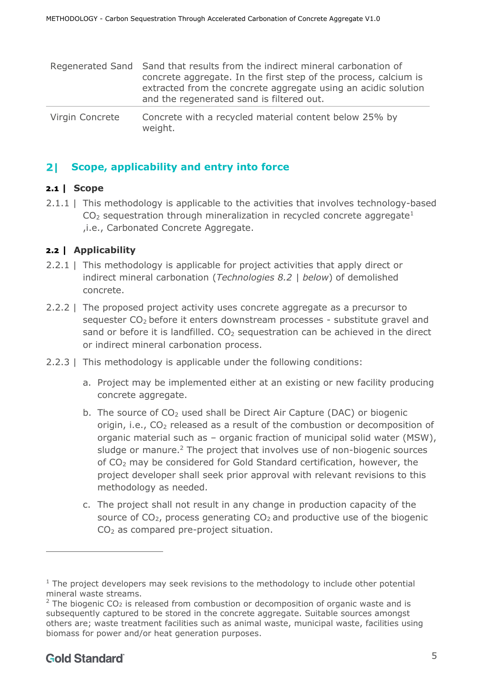|                 | Regenerated Sand Sand that results from the indirect mineral carbonation of<br>concrete aggregate. In the first step of the process, calcium is<br>extracted from the concrete aggregate using an acidic solution<br>and the regenerated sand is filtered out. |
|-----------------|----------------------------------------------------------------------------------------------------------------------------------------------------------------------------------------------------------------------------------------------------------------|
| Virgin Concrete | Concrete with a recycled material content below 25% by<br>weight.                                                                                                                                                                                              |

#### <span id="page-4-0"></span>21. **Scope, applicability and entry into force**

### <span id="page-4-1"></span>**2.1 | Scope**

2.1.1 | This methodology is applicable to the activities that involves technology-based  $CO<sub>2</sub>$  sequestration through mineralization in recycled concrete aggregate<sup>1</sup> ,i.e., Carbonated Concrete Aggregate.

### <span id="page-4-2"></span>**2.2 | Applicability**

- 2.2.1 | This methodology is applicable for project activities that apply direct or indirect mineral carbonation (*[Technologies](#page-33-0) [8.2 | below](#page-33-0)*) of demolished concrete.
- 2.2.2 | The proposed project activity uses concrete aggregate as a precursor to sequester CO2 before it enters downstream processes - substitute gravel and sand or before it is landfilled.  $CO<sub>2</sub>$  sequestration can be achieved in the direct or indirect mineral carbonation process.
- 2.2.3 | This methodology is applicable under the following conditions:
	- a. Project may be implemented either at an existing or new facility producing concrete aggregate.
	- b. The source of  $CO<sub>2</sub>$  used shall be Direct Air Capture (DAC) or biogenic origin, i.e.,  $CO<sub>2</sub>$  released as a result of the combustion or decomposition of organic material such as – organic fraction of municipal solid water (MSW), sludge or manure.<sup>2</sup> The project that involves use of non-biogenic sources of CO<sup>2</sup> may be considered for Gold Standard certification, however, the project developer shall seek prior approval with relevant revisions to this methodology as needed.
	- c. The project shall not result in any change in production capacity of the source of  $CO<sub>2</sub>$ , process generating  $CO<sub>2</sub>$  and productive use of the biogenic CO<sub>2</sub> as compared pre-project situation.

 $1$  The project developers may seek revisions to the methodology to include other potential mineral waste streams.

 $2$  The biogenic CO<sub>2</sub> is released from combustion or decomposition of organic waste and is subsequently captured to be stored in the concrete aggregate. Suitable sources amongst others are; waste treatment facilities such as animal waste, municipal waste, facilities using biomass for power and/or heat generation purposes.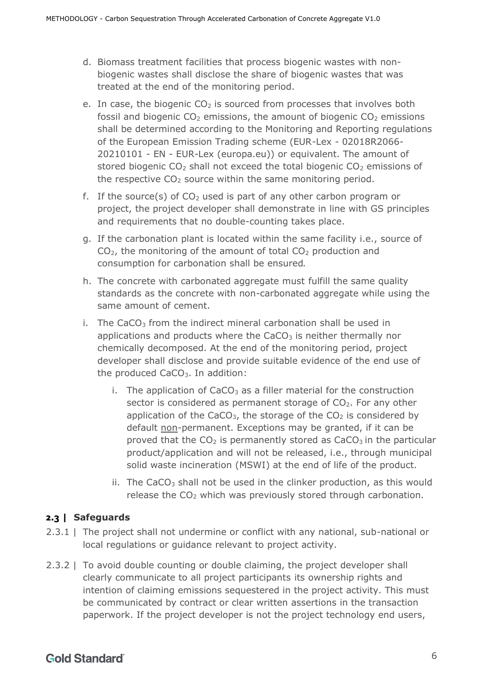- d. Biomass treatment facilities that process biogenic wastes with nonbiogenic wastes shall disclose the share of biogenic wastes that was treated at the end of the monitoring period.
- e. In case, the biogenic  $CO<sub>2</sub>$  is sourced from processes that involves both fossil and biogenic  $CO<sub>2</sub>$  emissions, the amount of biogenic  $CO<sub>2</sub>$  emissions shall be determined according to the Monitoring and Reporting regulations of the European Emission Trading scheme (EUR-Lex - 02018R2066- 20210101 - EN - EUR-Lex (europa.eu)) or equivalent. The amount of stored biogenic  $CO<sub>2</sub>$  shall not exceed the total biogenic  $CO<sub>2</sub>$  emissions of the respective  $CO<sub>2</sub>$  source within the same monitoring period.
- f. If the source(s) of  $CO<sub>2</sub>$  used is part of any other carbon program or project, the project developer shall demonstrate in line with GS principles and requirements that no double-counting takes place.
- g. If the carbonation plant is located within the same facility i.e., source of  $CO<sub>2</sub>$ , the monitoring of the amount of total  $CO<sub>2</sub>$  production and consumption for carbonation shall be ensured*.*
- h. The concrete with carbonated aggregate must fulfill the same quality standards as the concrete with non-carbonated aggregate while using the same amount of cement.
- i. The CaCO<sub>3</sub> from the indirect mineral carbonation shall be used in applications and products where the  $CaCO<sub>3</sub>$  is neither thermally nor chemically decomposed. At the end of the monitoring period, project developer shall disclose and provide suitable evidence of the end use of the produced CaCO<sub>3</sub>. In addition:
	- i. The application of  $CaCO<sub>3</sub>$  as a filler material for the construction sector is considered as permanent storage of  $CO<sub>2</sub>$ . For any other application of the CaCO<sub>3</sub>, the storage of the  $CO<sub>2</sub>$  is considered by default non-permanent. Exceptions may be granted, if it can be proved that the  $CO<sub>2</sub>$  is permanently stored as  $CaCO<sub>3</sub>$  in the particular product/application and will not be released, i.e., through municipal solid waste incineration (MSWI) at the end of life of the product.
	- ii. The CaCO<sub>3</sub> shall not be used in the clinker production, as this would release the  $CO<sub>2</sub>$  which was previously stored through carbonation.

# <span id="page-5-0"></span>**2.3 | Safeguards**

- 2.3.1 | The project shall not undermine or conflict with any national, sub-national or local regulations or guidance relevant to project activity.
- 2.3.2 | To avoid double counting or double claiming, the project developer shall clearly communicate to all project participants its ownership rights and intention of claiming emissions sequestered in the project activity. This must be communicated by contract or clear written assertions in the transaction paperwork. If the project developer is not the project technology end users,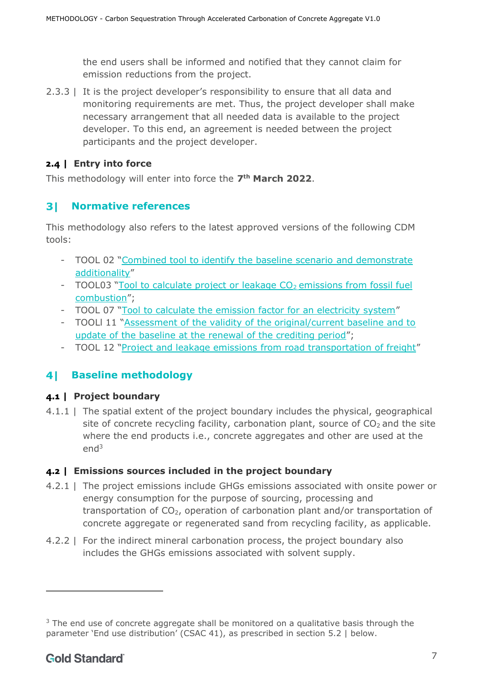the end users shall be informed and notified that they cannot claim for emission reductions from the project.

2.3.3 | It is the project developer's responsibility to ensure that all data and monitoring requirements are met. Thus, the project developer shall make necessary arrangement that all needed data is available to the project developer. To this end, an agreement is needed between the project participants and the project developer.

# <span id="page-6-0"></span>**2.4 | Entry into force**

This methodology will enter into force the **7 th March 2022**.

#### <span id="page-6-1"></span>**Normative references**  $3<sup>1</sup>$

This methodology also refers to the latest approved versions of the following CDM tools:

- TOOL 02 "[Combined tool to identify the baseline scenario and demonstrate](https://cdm.unfccc.int/methodologies/PAmethodologies/tools/am-tool-02-v7.0.pdf/history_view)  [additionality](https://cdm.unfccc.int/methodologies/PAmethodologies/tools/am-tool-02-v7.0.pdf/history_view)"
- TOOL03 "[Tool to calculate project or leakage CO](https://cdm.unfccc.int/methodologies/PAmethodologies/tools/am-tool-03-v3.pdf/history_view)<sub>2</sub> emissions from fossil fuel [combustion](https://cdm.unfccc.int/methodologies/PAmethodologies/tools/am-tool-03-v3.pdf/history_view)";
- TOOL 07 "[Tool to calculate the emission factor for an electricity system](https://cdm.unfccc.int/methodologies/PAmethodologies/tools/am-tool-07-v7.0.pdf/history_view)"
- TOOLl 11 "[Assessment of the validity of the original/current baseline and to](https://cdm.unfccc.int/methodologies/PAmethodologies/tools/am-tool-11-v3.0.1.pdf/history_view)  [update of the baseline at the renewal of the crediting period](https://cdm.unfccc.int/methodologies/PAmethodologies/tools/am-tool-11-v3.0.1.pdf/history_view)";
- TOOL 12 "[Project and leakage emissions from road transportation of freight](https://cdm.unfccc.int/methodologies/PAmethodologies/tools/am-tool-12-v1.1.0.pdf/history_view)"

#### <span id="page-6-2"></span>41 **Baseline methodology**

### <span id="page-6-3"></span>**4.1 | Project boundary**

4.1.1 | The spatial extent of the project boundary includes the physical, geographical site of concrete recycling facility, carbonation plant, source of  $CO<sub>2</sub>$  and the site where the end products i.e., concrete aggregates and other are used at the  $end<sup>3</sup>$ 

### <span id="page-6-4"></span>**4.2 | Emissions sources included in the project boundary**

- 4.2.1 | The project emissions include GHGs emissions associated with onsite power or energy consumption for the purpose of sourcing, processing and transportation of  $CO<sub>2</sub>$ , operation of carbonation plant and/or transportation of concrete aggregate or regenerated sand from recycling facility, as applicable.
- 4.2.2 | For the indirect mineral carbonation process, the project boundary also includes the GHGs emissions associated with solvent supply.

 $3$  The end use of concrete aggregate shall be monitored on a qualitative basis through the parameter 'End use distribution' (CSAC 41), as prescribed in section [5.2 |](#page-23-0) below.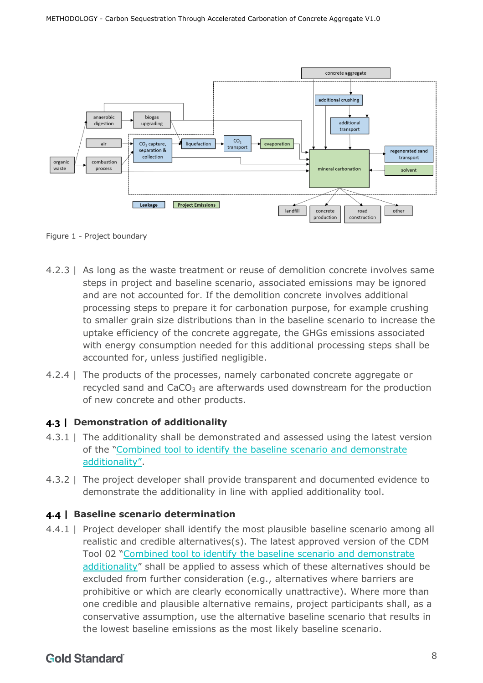

Figure 1 - Project boundary

- 4.2.3 | As long as the waste treatment or reuse of demolition concrete involves same steps in project and baseline scenario, associated emissions may be ignored and are not accounted for. If the demolition concrete involves additional processing steps to prepare it for carbonation purpose, for example crushing to smaller grain size distributions than in the baseline scenario to increase the uptake efficiency of the concrete aggregate, the GHGs emissions associated with energy consumption needed for this additional processing steps shall be accounted for, unless justified negligible.
- 4.2.4 | The products of the processes, namely carbonated concrete aggregate or recycled sand and  $CaCO<sub>3</sub>$  are afterwards used downstream for the production of new concrete and other products.

### <span id="page-7-0"></span>**4.3 | Demonstration of additionality**

- 4.3.1 | The additionality shall be demonstrated and assessed using the latest version of the "[Combined tool to identify the baseline scenario and demonstrate](https://cdm.unfccc.int/methodologies/PAmethodologies/tools/am-tool-02-v7.0.pdf/history_view)  [additionality](https://cdm.unfccc.int/methodologies/PAmethodologies/tools/am-tool-02-v7.0.pdf/history_view)".
- 4.3.2 | The project developer shall provide transparent and documented evidence to demonstrate the additionality in line with applied additionality tool.

#### <span id="page-7-1"></span>**4.4 | Baseline scenario determination**

4.4.1 | Project developer shall identify the most plausible baseline scenario among all realistic and credible alternatives(s). The latest approved version of the CDM Tool 02 "[Combined tool to identify the baseline scenario and demonstrate](https://cdm.unfccc.int/methodologies/PAmethodologies/tools/am-tool-02-v7.0.pdf/history_view)  [additionality](https://cdm.unfccc.int/methodologies/PAmethodologies/tools/am-tool-02-v7.0.pdf/history_view)" shall be applied to assess which of these alternatives should be excluded from further consideration (e.g., alternatives where barriers are prohibitive or which are clearly economically unattractive). Where more than one credible and plausible alternative remains, project participants shall, as a conservative assumption, use the alternative baseline scenario that results in the lowest baseline emissions as the most likely baseline scenario.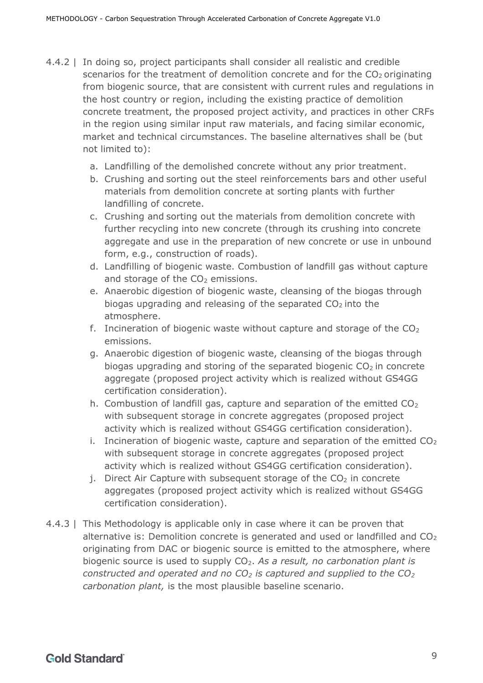- 4.4.2 | In doing so, project participants shall consider all realistic and credible scenarios for the treatment of demolition concrete and for the  $CO<sub>2</sub>$  originating from biogenic source, that are consistent with current rules and regulations in the host country or region, including the existing practice of demolition concrete treatment, the proposed project activity, and practices in other CRFs in the region using similar input raw materials, and facing similar economic, market and technical circumstances. The baseline alternatives shall be (but not limited to):
	- a. Landfilling of the demolished concrete without any prior treatment.
	- b. Crushing and sorting out the steel reinforcements bars and other useful materials from demolition concrete at sorting plants with further landfilling of concrete.
	- c. Crushing and sorting out the materials from demolition concrete with further recycling into new concrete (through its crushing into concrete aggregate and use in the preparation of new concrete or use in unbound form, e.g., construction of roads).
	- d. Landfilling of biogenic waste. Combustion of landfill gas without capture and storage of the  $CO<sub>2</sub>$  emissions.
	- e. Anaerobic digestion of biogenic waste, cleansing of the biogas through biogas upgrading and releasing of the separated  $CO<sub>2</sub>$  into the atmosphere.
	- f. Incineration of biogenic waste without capture and storage of the  $CO<sub>2</sub>$ emissions.
	- g. Anaerobic digestion of biogenic waste, cleansing of the biogas through biogas upgrading and storing of the separated biogenic  $CO<sub>2</sub>$  in concrete aggregate (proposed project activity which is realized without GS4GG certification consideration).
	- h. Combustion of landfill gas, capture and separation of the emitted  $CO<sub>2</sub>$ with subsequent storage in concrete aggregates (proposed project activity which is realized without GS4GG certification consideration).
	- i. Incineration of biogenic waste, capture and separation of the emitted  $CO<sub>2</sub>$ with subsequent storage in concrete aggregates (proposed project activity which is realized without GS4GG certification consideration).
	- i. Direct Air Capture with subsequent storage of the  $CO<sub>2</sub>$  in concrete aggregates (proposed project activity which is realized without GS4GG certification consideration).
- 4.4.3 | This Methodology is applicable only in case where it can be proven that alternative is: Demolition concrete is generated and used or landfilled and  $CO<sub>2</sub>$ originating from DAC or biogenic source is emitted to the atmosphere, where biogenic source is used to supply CO2. *As a result, no carbonation plant is constructed and operated and no CO<sup>2</sup> is captured and supplied to the CO<sup>2</sup> carbonation plant,* is the most plausible baseline scenario.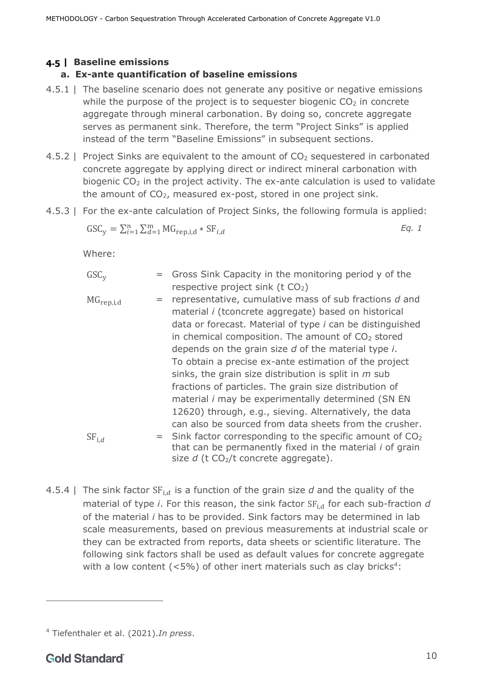# <span id="page-9-1"></span><span id="page-9-0"></span>**4.5 | Baseline emissions**

# **a. Ex-ante quantification of baseline emissions**

- 4.5.1 | The baseline scenario does not generate any positive or negative emissions while the purpose of the project is to sequester biogenic  $CO<sub>2</sub>$  in concrete aggregate through mineral carbonation. By doing so, concrete aggregate serves as permanent sink. Therefore, the term "Project Sinks" is applied instead of the term "Baseline Emissions" in subsequent sections.
- 4.5.2 | Project Sinks are equivalent to the amount of  $CO<sub>2</sub>$  sequestered in carbonated concrete aggregate by applying direct or indirect mineral carbonation with biogenic  $CO<sub>2</sub>$  in the project activity. The ex-ante calculation is used to validate the amount of  $CO<sub>2</sub>$ , measured ex-post, stored in one project sink.
- 4.5.3 | For the ex-ante calculation of Project Sinks, the following formula is applied:

$$
GSC_y = \sum_{i=1}^{n} \sum_{d=1}^{m} MG_{rep,i,d} * SF_{i,d}
$$
 Eq. 1

Where:

| GSC <sub>v</sub>                 | Gross Sink Capacity in the monitoring period y of the<br>respective project sink ( $t CO2$ )                                                                                                                                                                                                                                                                                                                                                                                                                                                                                                                                                                       |
|----------------------------------|--------------------------------------------------------------------------------------------------------------------------------------------------------------------------------------------------------------------------------------------------------------------------------------------------------------------------------------------------------------------------------------------------------------------------------------------------------------------------------------------------------------------------------------------------------------------------------------------------------------------------------------------------------------------|
| $\mathrm{MG}_{\mathrm{rep},i,d}$ | = representative, cumulative mass of sub fractions $d$ and<br>material i (tconcrete aggregate) based on historical<br>data or forecast. Material of type <i>i</i> can be distinguished<br>in chemical composition. The amount of $CO2$ stored<br>depends on the grain size d of the material type i.<br>To obtain a precise ex-ante estimation of the project<br>sinks, the grain size distribution is split in $m$ sub<br>fractions of particles. The grain size distribution of<br>material <i>i</i> may be experimentally determined (SN EN<br>12620) through, e.g., sieving. Alternatively, the data<br>can also be sourced from data sheets from the crusher. |
| $SF_{i,d}$                       | $=$ Sink factor corresponding to the specific amount of $CO2$<br>that can be permanently fixed in the material <i>i</i> of grain<br>size $d$ (t CO <sub>2</sub> /t concrete aggregate).                                                                                                                                                                                                                                                                                                                                                                                                                                                                            |

4.5.4 | The sink factor  $SF_{i,d}$  is a function of the grain size d and the quality of the material of type *i*. For this reason, the sink factor SF<sub>id</sub> for each sub-fraction *d* of the material *i* has to be provided. Sink factors may be determined in lab scale measurements, based on previous measurements at industrial scale or they can be extracted from reports, data sheets or scientific literature. The following sink factors shall be used as default values for concrete aggregate with a low content  $(<5\%)$  of other inert materials such as clay bricks<sup>4</sup>:

<sup>4</sup> Tiefenthaler et al. (2021).*In press*.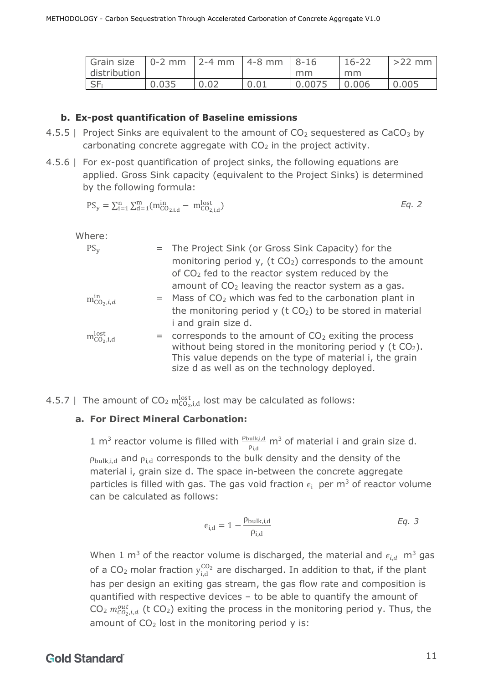| Grain size   0-2 mm   2-4 mm   4-8 mm   8-16 |       |      |      |        | $16 - 22$ | $>22$ mm |
|----------------------------------------------|-------|------|------|--------|-----------|----------|
| distribution                                 |       |      |      | mm     | mm        |          |
|                                              | 0.035 | 0.02 | 0.01 | 0.0075 | 0.006     | 0.005    |

### <span id="page-10-0"></span>**b. Ex-post quantification of Baseline emissions**

- 4.5.5 | Project Sinks are equivalent to the amount of  $CO<sub>2</sub>$  sequestered as  $CaCO<sub>3</sub>$  by carbonating concrete aggregate with  $CO<sub>2</sub>$  in the project activity.
- 4.5.6 | For ex-post quantification of project sinks, the following equations are applied. Gross Sink capacity (equivalent to the Project Sinks) is determined by the following formula:

$$
PS_{y} = \sum_{i=1}^{n} \sum_{d=1}^{m} (m_{CO_{2,i,d}}^{in} - m_{CO_{2,i,d}}^{lost})
$$
 Eq. 2

Where:

| $PS_{V}$                            | = The Project Sink (or Gross Sink Capacity) for the<br>monitoring period $y$ , (t CO <sub>2</sub> ) corresponds to the amount<br>of CO <sub>2</sub> fed to the reactor system reduced by the                                            |
|-------------------------------------|-----------------------------------------------------------------------------------------------------------------------------------------------------------------------------------------------------------------------------------------|
| $m_{CO_2,i,d}^{in}$                 | amount of $CO2$ leaving the reactor system as a gas.<br>$=$ Mass of CO <sub>2</sub> which was fed to the carbonation plant in                                                                                                           |
|                                     | the monitoring period $y$ (t $CO2$ ) to be stored in material<br>i and grain size d.                                                                                                                                                    |
| $m_{\text{CO}_2,i,d}^{\text{lost}}$ | $=$ corresponds to the amount of $CO2$ exiting the process<br>without being stored in the monitoring period $y$ (t $CO2$ ).<br>This value depends on the type of material i, the grain<br>size d as well as on the technology deployed. |

4.5.7 | The amount of  $CO_2$   $\rm m^{lost}_{CO_2,i,d}$  lost may be calculated as follows:

#### **a. For Direct Mineral Carbonation:**

1 m<sup>3</sup> reactor volume is filled with  $\frac{\rho_{\text{bulk,i,d}}}{\rho_{\text{i,d}}}$  m<sup>3</sup> of material i and grain size d.  $p_{\text{bulk},i,d}$  and  $p_{i,d}$  corresponds to the bulk density and the density of the material i, grain size d. The space in-between the concrete aggregate particles is filled with gas. The gas void fraction  $\epsilon_i$  per m<sup>3</sup> of reactor volume can be calculated as follows:

$$
\epsilon_{i,d} = 1 - \frac{\rho_{bulk,i,d}}{\rho_{i,d}}
$$
 Eq. 3

When 1 m<sup>3</sup> of the reactor volume is discharged, the material and  $\epsilon_{i,d}$  m<sup>3</sup> gas of a CO<sub>2</sub> molar fraction  $y_{i,d}^{CO_2}$  are discharged. In addition to that, if the plant has per design an exiting gas stream, the gas flow rate and composition is quantified with respective devices – to be able to quantify the amount of  $CO<sub>2</sub> m_{CO<sub>2</sub>, i, d}^{out}$  (t  $CO<sub>2</sub>$ ) exiting the process in the monitoring period y. Thus, the amount of  $CO<sub>2</sub>$  lost in the monitoring period y is: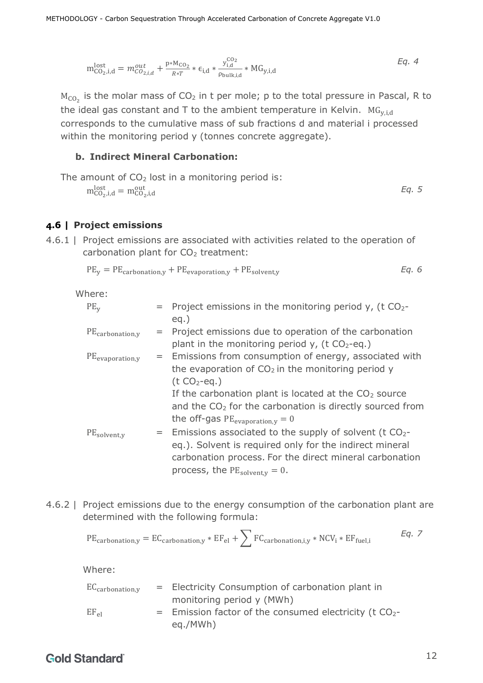$$
m_{CO_2,i,d}^{lost} = m_{CO_2,i,d}^{out} + \frac{p * M_{CO_2}}{R * T} * \epsilon_{i,d} * \frac{y_{i,d}^{CO_2}}{\rho_{bulk,i,d}} * MG_{y,i,d}
$$
Eq. 4

 $\textsf{M}_\textsf{CO}_2$  is the molar mass of CO<sub>2</sub> in t per mole; p to the total pressure in Pascal, R to the ideal gas constant and T to the ambient temperature in Kelvin.  $MG_{v.i.d.}$ corresponds to the cumulative mass of sub fractions d and material i processed within the monitoring period y (tonnes concrete aggregate).

## **b. Indirect Mineral Carbonation:**

The amount of CO<sub>2</sub> lost in a monitoring period is:  
\n
$$
m_{CO_2,i,d}^{lost} = m_{CO_2,i,d}^{out}
$$
\n
$$
Eq. 5
$$

## <span id="page-11-0"></span>**4.6 | Project emissions**

4.6.1 | Project emissions are associated with activities related to the operation of carbonation plant for  $CO<sub>2</sub>$  treatment:

$$
PEy = PEcarbonation,y + PEevaporation,y + PEsolvent,y
$$

Where:

| $PE_{v}$                    | $=$ Project emissions in the monitoring period y, (t CO <sub>2</sub> -<br>$eq.$ )                                                                                                                                                          |
|-----------------------------|--------------------------------------------------------------------------------------------------------------------------------------------------------------------------------------------------------------------------------------------|
| PE <sub>carbonation,y</sub> | $=$ Project emissions due to operation of the carbonation<br>plant in the monitoring period y, (t $CO2$ -eq.)                                                                                                                              |
| PE <sub>evaporation,y</sub> | = Emissions from consumption of energy, associated with<br>the evaporation of $CO2$ in the monitoring period y<br>$(t CO2-eq.)$<br>If the carbonation plant is located at the $CO2$ source                                                 |
|                             | and the $CO2$ for the carbonation is directly sourced from<br>the off-gas $PE_{evaporation,v} = 0$                                                                                                                                         |
| $PE_{\text{solvent},y}$     | $=$ Emissions associated to the supply of solvent (t CO <sub>2</sub> -<br>eq.). Solvent is required only for the indirect mineral<br>carbonation process. For the direct mineral carbonation<br>process, the $PE_{\text{solvent},v} = 0$ . |

4.6.2 | Project emissions due to the energy consumption of the carbonation plant are determined with the following formula:

$$
PE_{carbonation, y} = EC_{carbonation, y} * EF_{el} + \sum FC_{carbonation, i, y} * NCV_i * EF_{fuel, i}
$$

Where:

| EC <sub>carbonation,y</sub> | = Electricity Consumption of carbonation plant in          |
|-----------------------------|------------------------------------------------------------|
|                             | monitoring period y (MWh)                                  |
| $EF_{el}$                   | $=$ Emission factor of the consumed electricity (t $CO2$ - |
|                             | eq./MWh)                                                   |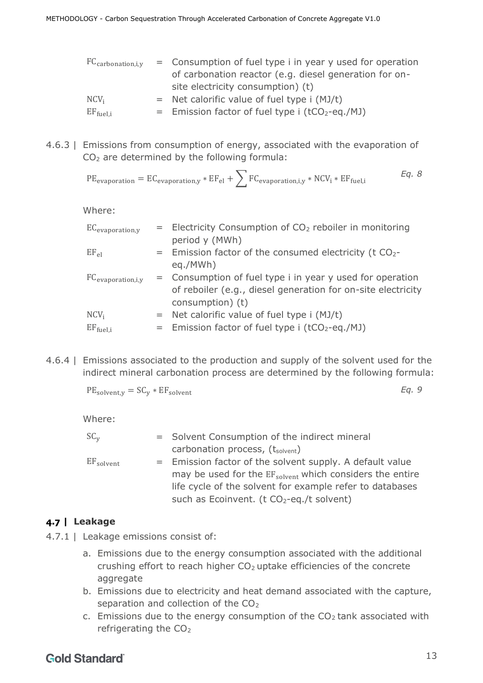| $FC_{carbonation,i,y}$ | $=$ Consumption of fuel type i in year y used for operation   |
|------------------------|---------------------------------------------------------------|
|                        | of carbonation reactor (e.g. diesel generation for on-        |
|                        | site electricity consumption) (t)                             |
| $NCV_i$                | $=$ Net calorific value of fuel type i (MJ/t)                 |
| $EF_{fuel,i}$          | $=$ Emission factor of fuel type i (tCO <sub>2</sub> -eq./MJ) |

4.6.3 | Emissions from consumption of energy, associated with the evaporation of CO<sup>2</sup> are determined by the following formula:

$$
PE_{evaporation} = EC_{evaporation,y} * EF_{el} + \sum FC_{evaporation,i,y} * NCV_i * EF_{fuel,i}
$$

Where:

| $\text{EC}_{\text{evaporation},y}$                       | $=$ | Electricity Consumption of CO <sub>2</sub> reboiler in monitoring                |
|----------------------------------------------------------|-----|----------------------------------------------------------------------------------|
|                                                          |     | period y (MWh)                                                                   |
| $EF_{el}$                                                |     | $=$ Emission factor of the consumed electricity (t CO <sub>2</sub> -<br>eq./MWh) |
|                                                          |     |                                                                                  |
| $\mathop{\mathrm{FC}}\nolimits_{\text{evaporation,i,y}}$ |     | $=$ Consumption of fuel type i in year y used for operation                      |
|                                                          |     | of reboiler (e.g., diesel generation for on-site electricity                     |
|                                                          |     | consumption) (t)                                                                 |
| $NCV_i$                                                  |     | $=$ Net calorific value of fuel type i (MJ/t)                                    |
| $EF_{fuel,i}$                                            |     | $=$ Emission factor of fuel type i (tCO <sub>2</sub> -eq./MJ)                    |
|                                                          |     |                                                                                  |

4.6.4 | Emissions associated to the production and supply of the solvent used for the indirect mineral carbonation process are determined by the following formula:

$$
PE_{\text{solvent,y}} = SC_{y} * EF_{\text{solvent}} \tag{Eq. 9}
$$

Where:

| $\text{SC}_{\text{v}}$ | = Solvent Consumption of the indirect mineral                 |
|------------------------|---------------------------------------------------------------|
|                        | carbonation process, (tsolvent)                               |
| $EF_{\rm solvent}$     | $=$ Emission factor of the solvent supply. A default value    |
|                        | may be used for the $EF_{solvent}$ which considers the entire |
|                        | life cycle of the solvent for example refer to databases      |
|                        | such as Ecoinvent. ( $t CO2$ -eq./ $t$ solvent)               |

# <span id="page-12-0"></span>**4.7 | Leakage**

- 4.7.1 | Leakage emissions consist of:
	- a. Emissions due to the energy consumption associated with the additional crushing effort to reach higher  $CO<sub>2</sub>$  uptake efficiencies of the concrete aggregate
	- b. Emissions due to electricity and heat demand associated with the capture, separation and collection of the CO<sub>2</sub>
	- c. Emissions due to the energy consumption of the  $CO<sub>2</sub>$  tank associated with refrigerating the CO<sub>2</sub>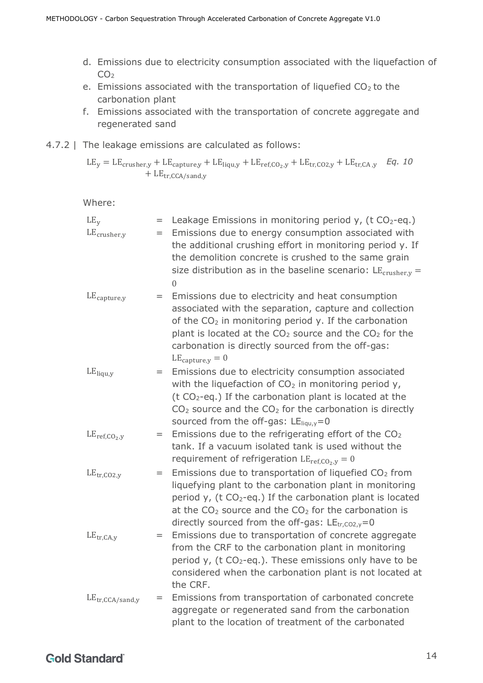- d. Emissions due to electricity consumption associated with the liquefaction of  $CO<sub>2</sub>$
- e. Emissions associated with the transportation of liquefied  $CO<sub>2</sub>$  to the carbonation plant
- f. Emissions associated with the transportation of concrete aggregate and regenerated sand
- 4.7.2 | The leakage emissions are calculated as follows:

$$
LE_y = LE_{crusher,y} + LE_{capture,y} + LE_{liqu,y} + LE_{ref,CO_2,y} + LE_{tr,CO2,y} + LE_{tr,CA,y} \quad Eq. 10
$$
  
+ LE<sub>tr,CCA/sand,y</sub>

Where:

| LE <sub>v</sub><br>$LE_{\text{crusher,y}}$ | $=$<br>$=$ | Leakage Emissions in monitoring period $y$ , (t CO <sub>2</sub> -eq.)<br>Emissions due to energy consumption associated with<br>the additional crushing effort in monitoring period y. If<br>the demolition concrete is crushed to the same grain<br>size distribution as in the baseline scenario: $LEcrusher.v =$<br>$\Omega$ |
|--------------------------------------------|------------|---------------------------------------------------------------------------------------------------------------------------------------------------------------------------------------------------------------------------------------------------------------------------------------------------------------------------------|
| $LE$ <sub>capture,y</sub>                  | $=$        | Emissions due to electricity and heat consumption<br>associated with the separation, capture and collection<br>of the $CO2$ in monitoring period y. If the carbonation<br>plant is located at the $CO2$ source and the $CO2$ for the<br>carbonation is directly sourced from the off-gas:<br>$LE_{\text{capture},y} = 0$        |
| $LE_{liqu,y}$                              | $=$        | Emissions due to electricity consumption associated<br>with the liquefaction of $CO2$ in monitoring period y,<br>$(t CO2-eq.)$ If the carbonation plant is located at the<br>$CO2$ source and the $CO2$ for the carbonation is directly<br>sourced from the off-gas: $LE_{\text{liqu},y}=0$                                     |
| $LE_{ref,CO_2,y}$                          | $=$        | Emissions due to the refrigerating effort of the CO <sub>2</sub><br>tank. If a vacuum isolated tank is used without the<br>requirement of refrigeration $LE_{ref,CO_2,y} = 0$                                                                                                                                                   |
| $LE_{tr,CO2,y}$                            | $=$        | Emissions due to transportation of liquefied CO <sub>2</sub> from<br>liquefying plant to the carbonation plant in monitoring<br>period $y$ , (t $CO_2$ -eq.) If the carbonation plant is located<br>at the $CO2$ source and the $CO2$ for the carbonation is<br>directly sourced from the off-gas: $LE_{\text{tr,CO2,y}} = 0$   |
| $LE_{tr,CA,y}$                             | $=$        | Emissions due to transportation of concrete aggregate<br>from the CRF to the carbonation plant in monitoring<br>period $y$ , (t $CO_2$ -eq.). These emissions only have to be<br>considered when the carbonation plant is not located at<br>the CRF.                                                                            |
| $LE_{tr, CCA/sand,y}$                      | $=$        | Emissions from transportation of carbonated concrete<br>aggregate or regenerated sand from the carbonation<br>plant to the location of treatment of the carbonated                                                                                                                                                              |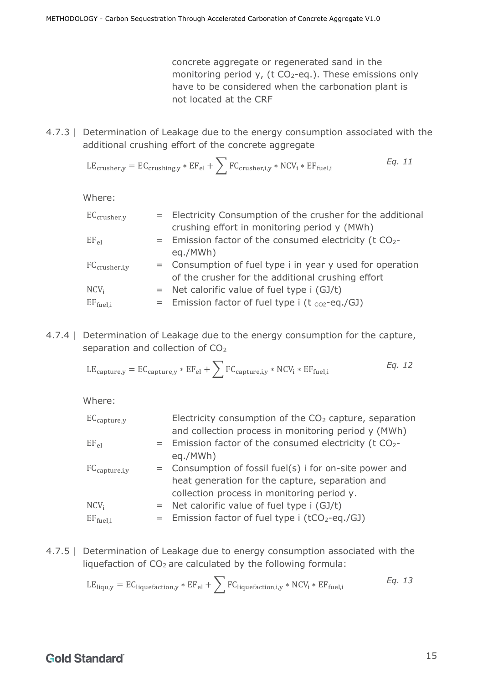concrete aggregate or regenerated sand in the monitoring period  $y$ , (t CO<sub>2</sub>-eq.). These emissions only have to be considered when the carbonation plant is not located at the CRF

4.7.3 | Determination of Leakage due to the energy consumption associated with the additional crushing effort of the concrete aggregate

$$
LE_{\text{crusher},y} = EC_{\text{crushing},y} * EF_{\text{el}} + \sum FC_{\text{crusher},i,y} * NCV_i * EF_{\text{fuel},i}
$$

Where:

| $EC_{crusher,y}$   | = Electricity Consumption of the crusher for the additional          |
|--------------------|----------------------------------------------------------------------|
|                    | crushing effort in monitoring period y (MWh)                         |
| $EF_{\rho}$        | $=$ Emission factor of the consumed electricity (t CO <sub>2</sub> - |
|                    | eg./MWh)                                                             |
| $FC_{crusher,i,y}$ | = Consumption of fuel type i in year y used for operation            |
|                    | of the crusher for the additional crushing effort                    |
| $NCV_i$            | $=$ Net calorific value of fuel type i (GJ/t)                        |
| $EF_{fuel,i}$      | = Emission factor of fuel type i $(t_{\text{co2}}\text{-eq.}/GJ)$    |
|                    |                                                                      |

4.7.4 | Determination of Leakage due to the energy consumption for the capture, separation and collection of CO<sub>2</sub>

$$
LE_{capture,y} = EC_{capture,y} * EF_{el} + \sum FC_{capture,i,y} * NCV_i * EF_{fuel,i}
$$

Where:

| $EC_{\rm capture,y}$      | Electricity consumption of the $CO2$ capture, separation             |
|---------------------------|----------------------------------------------------------------------|
|                           | and collection process in monitoring period y (MWh)                  |
| $EF_{el}$                 | $=$ Emission factor of the consumed electricity (t CO <sub>2</sub> - |
|                           | eq./MWh)                                                             |
| $FC_{\text{capture},i,y}$ | = Consumption of fossil fuel(s) i for on-site power and              |
|                           | heat generation for the capture, separation and                      |
|                           | collection process in monitoring period y.                           |
| $NCV_i$                   | $=$ Net calorific value of fuel type i (GJ/t)                        |
| $EF_{fuel.i}$             | $=$ Emission factor of fuel type i (tCO <sub>2</sub> -eq./GJ)        |
|                           |                                                                      |

4.7.5 | Determination of Leakage due to energy consumption associated with the liquefaction of  $CO<sub>2</sub>$  are calculated by the following formula:

$$
LE_{\text{liqu},y} = EC_{\text{liquefaction},y} * EF_{\text{el}} + \sum FC_{\text{liquefaction},i,y} * NCV_i * EF_{\text{fuel},i} \qquad \qquad Eq. 13
$$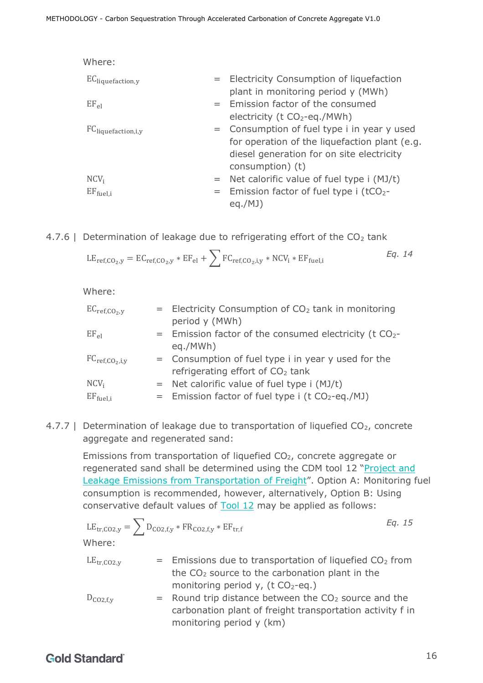| Where:                           |                                                                                                                                                                 |
|----------------------------------|-----------------------------------------------------------------------------------------------------------------------------------------------------------------|
| EC <sub>liquefaction,y</sub>     | = Electricity Consumption of liquefaction<br>plant in monitoring period y (MWh)                                                                                 |
| $EF_{el}$                        | $=$ Emission factor of the consumed<br>electricity ( $t CO2$ -eq./MWh)                                                                                          |
| FC <sub>liquefaction, i, y</sub> | $=$ Consumption of fuel type i in year y used<br>for operation of the liquefaction plant (e.g.<br>diesel generation for on site electricity<br>consumption) (t) |
| $NCV_i$                          | $=$ Net calorific value of fuel type i (MJ/t)                                                                                                                   |
| $EF_{fuel,i}$                    | $=$ Emission factor of fuel type i (tCO <sub>2</sub> -<br>eq./MJ)                                                                                               |

4.7.6 | Determination of leakage due to refrigerating effort of the  $CO<sub>2</sub>$  tank

$$
LE_{ref,CO_2,y} = EC_{ref,CO_2,y} * EF_{el} + \sum FC_{ref,CO_2,i,y} * NCV_i * EF_{fuel,i}
$$

Where:

| $\text{EC}_{\text{ref,CO}_2,\text{y}}$                           | $=$ Electricity Consumption of CO <sub>2</sub> tank in monitoring    |
|------------------------------------------------------------------|----------------------------------------------------------------------|
|                                                                  | period y (MWh)                                                       |
| $EF_{el}$                                                        | $=$ Emission factor of the consumed electricity (t CO <sub>2</sub> - |
|                                                                  | eg./MWh)                                                             |
| $\mathsf{FC}_{\mathsf{ref},\mathsf{CO}_2,\mathsf{i},\mathsf{y}}$ | $=$ Consumption of fuel type i in year y used for the                |
|                                                                  | refrigerating effort of CO <sub>2</sub> tank                         |
| $NCV_i$                                                          | $=$ Net calorific value of fuel type i (MJ/t)                        |
| $EF_{fuel.i}$                                                    | $=$ Emission factor of fuel type i (t CO <sub>2</sub> -eq./MJ)       |
|                                                                  |                                                                      |

4.7.7 | Determination of leakage due to transportation of liquefied  $CO<sub>2</sub>$ , concrete aggregate and regenerated sand:

> Emissions from transportation of liquefied CO<sub>2</sub>, concrete aggregate or regenerated sand shall be determined using the CDM tool 12 "[Project and](https://cdm.unfccc.int/methodologies/PAmethodologies/tools/am-tool-12-v1.1.0.pdf/history_view)  [Leakage Emissions from Transportation](https://cdm.unfccc.int/methodologies/PAmethodologies/tools/am-tool-12-v1.1.0.pdf/history_view) of Freight". Option A: Monitoring fuel consumption is recommended, however, alternatively, Option B: Using conservative default values of [Tool 12](https://cdm.unfccc.int/methodologies/PAmethodologies/tools/am-tool-12-v1.1.0.pdf/history_view) may be applied as follows:

$$
LE_{tr,CO2,y} = \sum D_{CO2, f,y} * FR_{CO2, f,y} * EF_{tr,f}
$$
  
\nWhere:  
\n
$$
LE_{tr,CO2,y} = \text{Emissions due to transportation of liquid of 1002 from the CO2 source to the carbonation plant in the\nmonitoring period y, (t CO2-eq.)\n
$$
D_{CO2, f,y} = \text{Round trip distance between the CO2 source and the}
$$
$$

carbonation plant of freight transportation activity f in monitoring period y (km)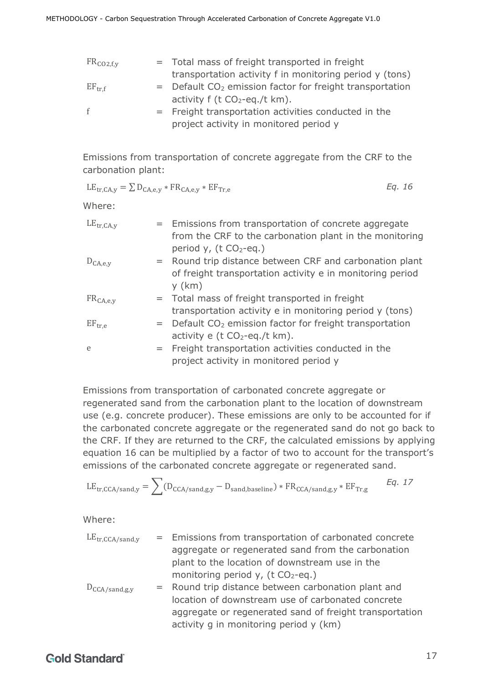| $FR_{CO2,f,y}$ | = Total mass of freight transported in freight                         |
|----------------|------------------------------------------------------------------------|
|                | transportation activity f in monitoring period y (tons)                |
| $EF_{tr,f}$    | $=$ Default CO <sub>2</sub> emission factor for freight transportation |
|                | activity $f(t CO2-eq./t km)$ .                                         |
| $\mathsf{f}$   | $=$ Freight transportation activities conducted in the                 |
|                | project activity in monitored period y                                 |

Emissions from transportation of concrete aggregate from the CRF to the carbonation plant:

$$
LE_{tr,CA,y} = \sum D_{CA,e,y} * FR_{CA,e,y} * EF_{Tr,e}
$$
 *Eq. 16*

Where:

| $LE_{\text{tr,CA},y}$ | = Emissions from transportation of concrete aggregate<br>from the CRF to the carbonation plant in the monitoring |
|-----------------------|------------------------------------------------------------------------------------------------------------------|
|                       | period $y$ , (t $CO_2$ -eq.)                                                                                     |
| $D_{CA,e,y}$          | $=$ Round trip distance between CRF and carbonation plant                                                        |
|                       | of freight transportation activity e in monitoring period                                                        |
|                       | $y$ (km)                                                                                                         |
| FR <sub>CA,e,y</sub>  | = Total mass of freight transported in freight                                                                   |
|                       | transportation activity e in monitoring period y (tons)                                                          |
| $EF_{tr,e}$           | $=$ Default CO <sub>2</sub> emission factor for freight transportation                                           |
|                       | activity e (t $CO_2$ -eq./t km).                                                                                 |
| e                     | = Freight transportation activities conducted in the                                                             |
|                       | project activity in monitored period y                                                                           |

Emissions from transportation of carbonated concrete aggregate or regenerated sand from the carbonation plant to the location of downstream use (e.g. concrete producer). These emissions are only to be accounted for if the carbonated concrete aggregate or the regenerated sand do not go back to the CRF. If they are returned to the CRF, the calculated emissions by applying equation 16 can be multiplied by a factor of two to account for the transport's emissions of the carbonated concrete aggregate or regenerated sand.

$$
\text{LE}_{\text{tr},\text{CCA/sand},y} = \sum (\text{D}_{\text{CCA/sand},g,y} - \text{D}_{\text{sand},\text{baseline}}) * \text{FR}_{\text{CCA/sand},g,y} * \text{EF}_{\text{Tr},g} \qquad \text{Eq. 17}
$$

Where:

| \n $LE_{\text{tr,CCA/sand},y}$ \n | = | Emissions from transportation of carbonated concrete<br>\n <code>aggregate or regenerated sand from the carbonation</code><br>\n <code>plant to the location of downstream use in the<br/>\n<code>monitoring period y, (t CO<sub>2</sub>-eq.)</code>\n</code> |
|-----------------------------------|---|---------------------------------------------------------------------------------------------------------------------------------------------------------------------------------------------------------------------------------------------------------------|
| \n $D_{\text{CCA/sand},gy}$ \n    | = | \n        Round trip distance between carbonation plant and<br>\n        location of downstream use of carbonated concrete<br>\n        aggregate or regenerated sand of freight transportation<br>\n        activity g in monitoring period y (km)\n         |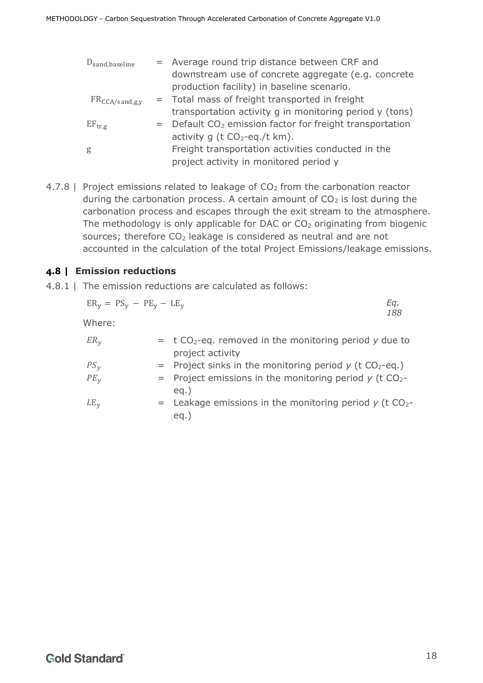| $D_{\text{sand,baseline}}$ | = Average round trip distance between CRF and                          |
|----------------------------|------------------------------------------------------------------------|
|                            | downstream use of concrete aggregate (e.g. concrete                    |
|                            | production facility) in baseline scenario.                             |
| $FR_{\text{CCA/sand,g,y}}$ | = Total mass of freight transported in freight                         |
|                            | transportation activity g in monitoring period y (tons)                |
| $EF_{tr,g}$                | $=$ Default CO <sub>2</sub> emission factor for freight transportation |
|                            | activity $q$ (t $CO_2$ -eq./t km).                                     |
| g                          | Freight transportation activities conducted in the                     |
|                            | project activity in monitored period y                                 |

4.7.8 | Project emissions related to leakage of  $CO<sub>2</sub>$  from the carbonation reactor during the carbonation process. A certain amount of  $CO<sub>2</sub>$  is lost during the carbonation process and escapes through the exit stream to the atmosphere. The methodology is only applicable for DAC or  $CO<sub>2</sub>$  originating from biogenic sources; therefore  $CO<sub>2</sub>$  leakage is considered as neutral and are not accounted in the calculation of the total Project Emissions/leakage emissions.

## <span id="page-17-0"></span>**4.8 | Emission reductions**

4.8.1 | The emission reductions are calculated as follows:

$$
ER_y = PS_y - PE_y - LE_y
$$
Eq. 188

Where:

| $ER_v$       | $=$ t CO <sub>2</sub> -eq. removed in the monitoring period y due to<br>project activity |
|--------------|------------------------------------------------------------------------------------------|
| $PS_{\nu}$   | $=$ Project sinks in the monitoring period y (t CO <sub>2</sub> -eq.)                    |
| $PE_v$       | $=$ Project emissions in the monitoring period y (t CO <sub>2</sub> -                    |
|              | $eq.$ )                                                                                  |
| $LE_{\rm v}$ | $=$ Leakage emissions in the monitoring period y (t CO <sub>2</sub> -<br>$eq.$ )         |
|              |                                                                                          |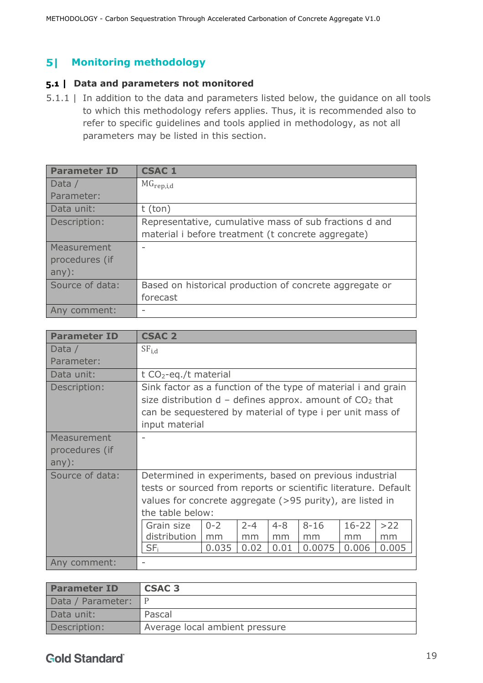#### <span id="page-18-0"></span>**Monitoring methodology**  $5<sub>1</sub>$

### <span id="page-18-1"></span>**5.1 | Data and parameters not monitored**

5.1.1 | In addition to the data and parameters listed below, the guidance on all tools to which this methodology refers applies. Thus, it is recommended also to refer to specific guidelines and tools applied in methodology, as not all parameters may be listed in this section.

| <b>Parameter ID</b> | <b>CSAC 1</b>                                           |
|---------------------|---------------------------------------------------------|
| Data /              | $MG_{rep,i,d}$                                          |
| Parameter:          |                                                         |
| Data unit:          | $t$ (ton)                                               |
| Description:        | Representative, cumulative mass of sub fractions d and  |
|                     | material i before treatment (t concrete aggregate)      |
| Measurement         |                                                         |
| procedures (if      |                                                         |
| any):               |                                                         |
| Source of data:     | Based on historical production of concrete aggregate or |
|                     | forecast                                                |
| Any comment:        |                                                         |

| <b>Parameter ID</b> | <b>CSAC 2</b>                                                   |         |         |         |          |           |       |
|---------------------|-----------------------------------------------------------------|---------|---------|---------|----------|-----------|-------|
| Data $/$            | SF <sub>i,d</sub>                                               |         |         |         |          |           |       |
| Parameter:          |                                                                 |         |         |         |          |           |       |
| Data unit:          | t $CO_2$ -eq./t material                                        |         |         |         |          |           |       |
| Description:        | Sink factor as a function of the type of material i and grain   |         |         |         |          |           |       |
|                     | size distribution $d -$ defines approx. amount of $CO2$ that    |         |         |         |          |           |       |
|                     | can be sequestered by material of type i per unit mass of       |         |         |         |          |           |       |
|                     | input material                                                  |         |         |         |          |           |       |
| Measurement         |                                                                 |         |         |         |          |           |       |
| procedures (if      |                                                                 |         |         |         |          |           |       |
| any):               |                                                                 |         |         |         |          |           |       |
| Source of data:     | Determined in experiments, based on previous industrial         |         |         |         |          |           |       |
|                     | tests or sourced from reports or scientific literature. Default |         |         |         |          |           |       |
|                     | values for concrete aggregate (>95 purity), are listed in       |         |         |         |          |           |       |
|                     | the table below:                                                |         |         |         |          |           |       |
|                     | Grain size                                                      | $0 - 2$ | $2 - 4$ | $4 - 8$ | $8 - 16$ | $16 - 22$ | >22   |
|                     | distribution                                                    | mm      | mm      | mm      | mm       | mm        | mm    |
|                     | SF <sub>i</sub>                                                 | 0.035   | 0.02    | 0.01    | 0.0075   | 0.006     | 0.005 |
| Any comment:        |                                                                 |         |         |         |          |           |       |

| <b>Parameter ID</b> | <b>CSAC 3</b>                  |
|---------------------|--------------------------------|
| Data / Parameter:   |                                |
| Data unit:          | Pascal                         |
| Description:        | Average local ambient pressure |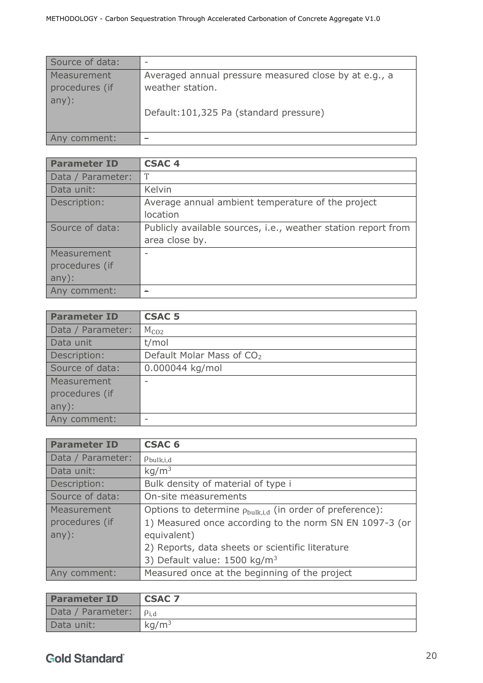| Source of data:                        |                                                                           |
|----------------------------------------|---------------------------------------------------------------------------|
| Measurement<br>procedures (if<br>any): | Averaged annual pressure measured close by at e.g., a<br>weather station. |
|                                        | Default: 101, 325 Pa (standard pressure)                                  |
| Any comment:                           |                                                                           |

| <b>Parameter ID</b> | <b>CSAC4</b>                                                  |
|---------------------|---------------------------------------------------------------|
| Data / Parameter:   | T                                                             |
| Data unit:          | Kelvin                                                        |
| Description:        | Average annual ambient temperature of the project             |
|                     | location                                                      |
| Source of data:     | Publicly available sources, i.e., weather station report from |
|                     | area close by.                                                |
| Measurement         |                                                               |
| procedures (if      |                                                               |
| any):               |                                                               |
| Any comment:        |                                                               |

| <b>Parameter ID</b> | <b>CSAC 5</b>                         |
|---------------------|---------------------------------------|
| Data / Parameter:   | $M_{CO2}$                             |
| Data unit           | t/mol                                 |
| Description:        | Default Molar Mass of CO <sub>2</sub> |
| Source of data:     | 0.000044 kg/mol                       |
| Measurement         |                                       |
| procedures (if      |                                       |
| any):               |                                       |
| Any comment:        |                                       |

| <b>Parameter ID</b> | <b>CSAC 6</b>                                                           |
|---------------------|-------------------------------------------------------------------------|
| Data / Parameter:   | $\rho_{\rm bulk,i,d}$                                                   |
| Data unit:          | kg/m <sup>3</sup>                                                       |
| Description:        | Bulk density of material of type i                                      |
| Source of data:     | On-site measurements                                                    |
| Measurement         | Options to determine $\rho_{\text{bulk.i.d}}$ (in order of preference): |
| procedures (if      | 1) Measured once according to the norm SN EN 1097-3 (or                 |
| any):               | equivalent)                                                             |
|                     | 2) Reports, data sheets or scientific literature                        |
|                     | 3) Default value: $1500 \text{ kg/m}^3$                                 |
| Any comment:        | Measured once at the beginning of the project                           |

| <b>Parameter ID</b>            | <b>CSAC 7</b>     |
|--------------------------------|-------------------|
| Data / Parameter: $\rho_{i,d}$ |                   |
| Data unit:                     | kg/m <sup>3</sup> |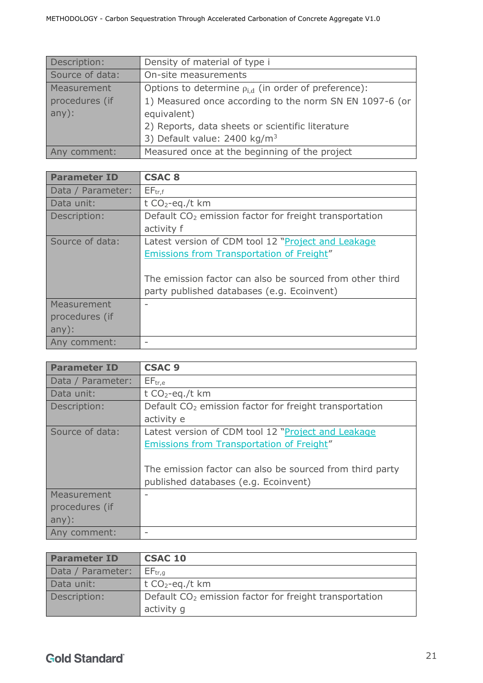| Description:    | Density of material of type i                               |
|-----------------|-------------------------------------------------------------|
| Source of data: | On-site measurements                                        |
| Measurement     | Options to determine $\rho_{i,d}$ (in order of preference): |
| procedures (if  | 1) Measured once according to the norm SN EN 1097-6 (or     |
| any):           | equivalent)                                                 |
|                 | 2) Reports, data sheets or scientific literature            |
|                 | 3) Default value: 2400 kg/m <sup>3</sup>                    |
| Any comment:    | Measured once at the beginning of the project               |

| <b>Parameter ID</b> | <b>CSAC 8</b>                                                      |
|---------------------|--------------------------------------------------------------------|
| Data / Parameter:   | EF <sub>tr,f</sub>                                                 |
| Data unit:          | t $CO_2$ -eq./t km                                                 |
| Description:        | Default CO <sub>2</sub> emission factor for freight transportation |
|                     | activity f                                                         |
| Source of data:     | Latest version of CDM tool 12 "Project and Leakage                 |
|                     | <b>Emissions from Transportation of Freight"</b>                   |
|                     |                                                                    |
|                     | The emission factor can also be sourced from other third           |
|                     | party published databases (e.g. Ecoinvent)                         |
| Measurement         |                                                                    |
| procedures (if      |                                                                    |
| any):               |                                                                    |
| Any comment:        |                                                                    |

| <b>Parameter ID</b> | <b>CSAC 9</b>                                                      |
|---------------------|--------------------------------------------------------------------|
| Data / Parameter:   | EF <sub>tr,e</sub>                                                 |
| Data unit:          | t $CO_2$ -eq./t km                                                 |
| Description:        | Default CO <sub>2</sub> emission factor for freight transportation |
|                     | activity e                                                         |
| Source of data:     | Latest version of CDM tool 12 "Project and Leakage                 |
|                     | <b>Emissions from Transportation of Freight"</b>                   |
|                     |                                                                    |
|                     | The emission factor can also be sourced from third party           |
|                     | published databases (e.g. Ecoinvent)                               |
| Measurement         |                                                                    |
| procedures (if      |                                                                    |
| any):               |                                                                    |
| Any comment:        |                                                                    |

| <b>Parameter ID</b> | <b>CSAC 10</b>                                                     |
|---------------------|--------------------------------------------------------------------|
| Data / Parameter:   | $EF_{\text{tr,a}}$                                                 |
| Data unit:          | t $CO_2$ -eq./t km                                                 |
| Description:        | Default CO <sub>2</sub> emission factor for freight transportation |
|                     | activity g                                                         |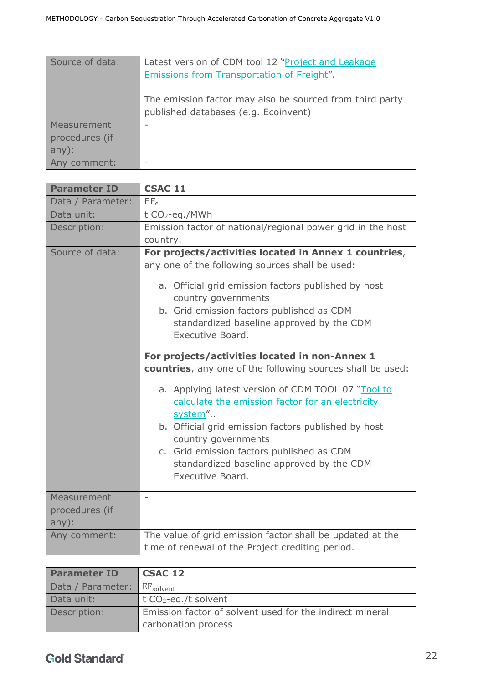| Source of data: | Latest version of CDM tool 12 "Project and Leakage       |
|-----------------|----------------------------------------------------------|
|                 | Emissions from Transportation of Freight".               |
|                 | The emission factor may also be sourced from third party |
|                 | published databases (e.g. Ecoinvent)                     |
| Measurement     |                                                          |
| procedures (if  |                                                          |
| any):           |                                                          |
| v comment:      |                                                          |

| <b>Parameter ID</b>                    | <b>CSAC 11</b>                                                                                                                                                                                                                      |
|----------------------------------------|-------------------------------------------------------------------------------------------------------------------------------------------------------------------------------------------------------------------------------------|
| Data / Parameter:                      | $EF_{el}$                                                                                                                                                                                                                           |
| Data unit:                             | t CO <sub>2</sub> -eq./MWh                                                                                                                                                                                                          |
| Description:                           | Emission factor of national/regional power grid in the host                                                                                                                                                                         |
|                                        | country.                                                                                                                                                                                                                            |
| Source of data:                        | For projects/activities located in Annex 1 countries,<br>any one of the following sources shall be used:<br>a. Official grid emission factors published by host<br>country governments<br>b. Grid emission factors published as CDM |
|                                        | standardized baseline approved by the CDM<br>Executive Board.                                                                                                                                                                       |
|                                        | For projects/activities located in non-Annex 1<br>countries, any one of the following sources shall be used:                                                                                                                        |
|                                        | a. Applying latest version of CDM TOOL 07 "Tool to<br>calculate the emission factor for an electricity<br>system"                                                                                                                   |
|                                        | b. Official grid emission factors published by host<br>country governments                                                                                                                                                          |
|                                        | c. Grid emission factors published as CDM                                                                                                                                                                                           |
|                                        | standardized baseline approved by the CDM<br>Executive Board.                                                                                                                                                                       |
| Measurement<br>procedures (if<br>any): |                                                                                                                                                                                                                                     |
| Any comment:                           | The value of grid emission factor shall be updated at the<br>time of renewal of the Project crediting period.                                                                                                                       |

| <b>Parameter ID</b> | <b>CSAC 12</b>                                           |
|---------------------|----------------------------------------------------------|
| Data / Parameter:   | $EF_{\text{solvent}}$                                    |
| Data unit:          | t $CO_2$ -eq./t solvent                                  |
| Description:        | Emission factor of solvent used for the indirect mineral |
|                     | carbonation process                                      |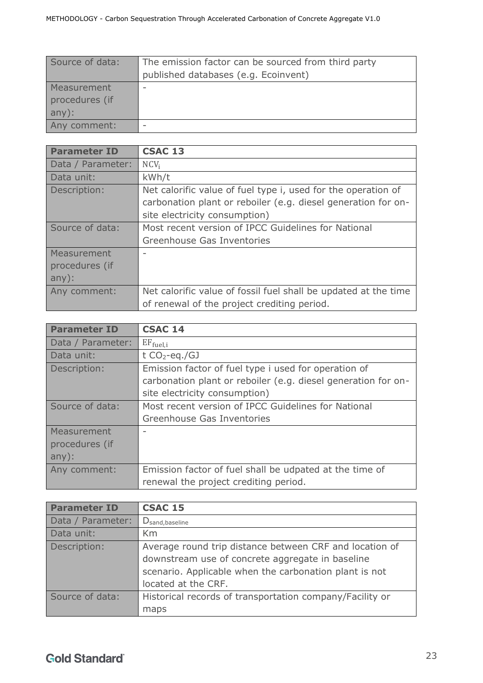| Source of data:                        | The emission factor can be sourced from third party<br>published databases (e.g. Ecoinvent) |
|----------------------------------------|---------------------------------------------------------------------------------------------|
| Measurement<br>procedures (if<br>any): |                                                                                             |
| Any comment:                           |                                                                                             |

| <b>Parameter ID</b>                    | <b>CSAC 13</b>                                                                                                                                                  |
|----------------------------------------|-----------------------------------------------------------------------------------------------------------------------------------------------------------------|
| Data / Parameter:                      | $NCV_i$                                                                                                                                                         |
| Data unit:                             | kWh/t                                                                                                                                                           |
| Description:                           | Net calorific value of fuel type i, used for the operation of<br>carbonation plant or reboiler (e.g. diesel generation for on-<br>site electricity consumption) |
| Source of data:                        | Most recent version of IPCC Guidelines for National<br>Greenhouse Gas Inventories                                                                               |
| Measurement<br>procedures (if<br>any): |                                                                                                                                                                 |
| Any comment:                           | Net calorific value of fossil fuel shall be updated at the time<br>of renewal of the project crediting period.                                                  |

| <b>Parameter ID</b> | <b>CSAC 14</b>                                                |
|---------------------|---------------------------------------------------------------|
| Data / Parameter:   | $EF_{fuel,i}$                                                 |
| Data unit:          | t $CO_2$ -eq./GJ                                              |
| Description:        | Emission factor of fuel type i used for operation of          |
|                     | carbonation plant or reboiler (e.g. diesel generation for on- |
|                     | site electricity consumption)                                 |
| Source of data:     | Most recent version of IPCC Guidelines for National           |
|                     | Greenhouse Gas Inventories                                    |
| Measurement         |                                                               |
| procedures (if      |                                                               |
| any):               |                                                               |
| Any comment:        | Emission factor of fuel shall be udpated at the time of       |
|                     | renewal the project crediting period.                         |

| <b>Parameter ID</b> | <b>CSAC 15</b>                                                                                                                                                                               |
|---------------------|----------------------------------------------------------------------------------------------------------------------------------------------------------------------------------------------|
| Data / Parameter:   | D <sub>sand, baseline</sub>                                                                                                                                                                  |
| Data unit:          | Km                                                                                                                                                                                           |
| Description:        | Average round trip distance between CRF and location of<br>downstream use of concrete aggregate in baseline<br>scenario. Applicable when the carbonation plant is not<br>located at the CRF. |
| Source of data:     | Historical records of transportation company/Facility or                                                                                                                                     |
|                     | maps                                                                                                                                                                                         |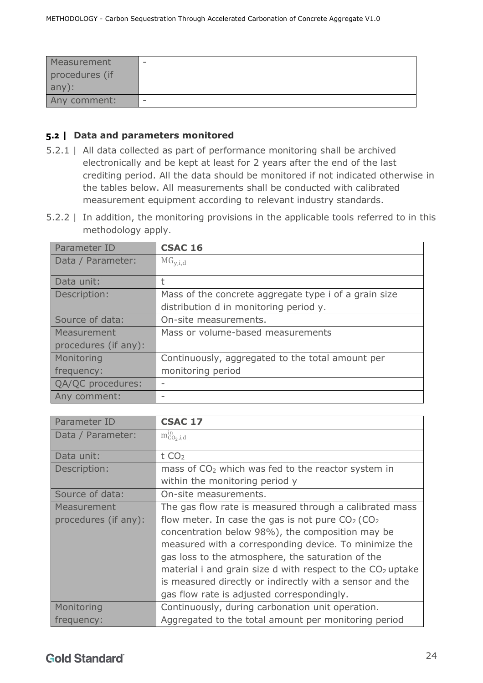| Measurement    | $\overline{\phantom{a}}$ |
|----------------|--------------------------|
| procedures (if |                          |
| $ $ any):      |                          |
| Any comment:   |                          |

# <span id="page-23-0"></span>**5.2 | Data and parameters monitored**

- 5.2.1 | All data collected as part of performance monitoring shall be archived electronically and be kept at least for 2 years after the end of the last crediting period. All the data should be monitored if not indicated otherwise in the tables below. All measurements shall be conducted with calibrated measurement equipment according to relevant industry standards.
- 5.2.2 | In addition, the monitoring provisions in the applicable tools referred to in this methodology apply.

| Parameter ID         | <b>CSAC 16</b>                                        |
|----------------------|-------------------------------------------------------|
| Data / Parameter:    | $MG_{y,i,d}$                                          |
| Data unit:           | t                                                     |
| Description:         | Mass of the concrete aggregate type i of a grain size |
|                      | distribution d in monitoring period y.                |
| Source of data:      | On-site measurements.                                 |
| Measurement          | Mass or volume-based measurements                     |
| procedures (if any): |                                                       |
| Monitoring           | Continuously, aggregated to the total amount per      |
| frequency:           | monitoring period                                     |
| QA/QC procedures:    | $\overline{\phantom{a}}$                              |
| Any comment:         |                                                       |

| Parameter ID         | <b>CSAC 17</b>                                                   |
|----------------------|------------------------------------------------------------------|
| Data / Parameter:    | $m^{\rm in}_{\rm CO_2,i,d}$                                      |
| Data unit:           | t CO <sub>2</sub>                                                |
| Description:         | mass of $CO2$ which was fed to the reactor system in             |
|                      | within the monitoring period y                                   |
| Source of data:      | On-site measurements.                                            |
| Measurement          | The gas flow rate is measured through a calibrated mass          |
| procedures (if any): | flow meter. In case the gas is not pure $CO2$ (CO <sub>2</sub> ) |
|                      | concentration below 98%), the composition may be                 |
|                      | measured with a corresponding device. To minimize the            |
|                      | gas loss to the atmosphere, the saturation of the                |
|                      | material i and grain size d with respect to the $CO2$ uptake     |
|                      | is measured directly or indirectly with a sensor and the         |
|                      | gas flow rate is adjusted correspondingly.                       |
| Monitoring           | Continuously, during carbonation unit operation.                 |
| frequency:           | Aggregated to the total amount per monitoring period             |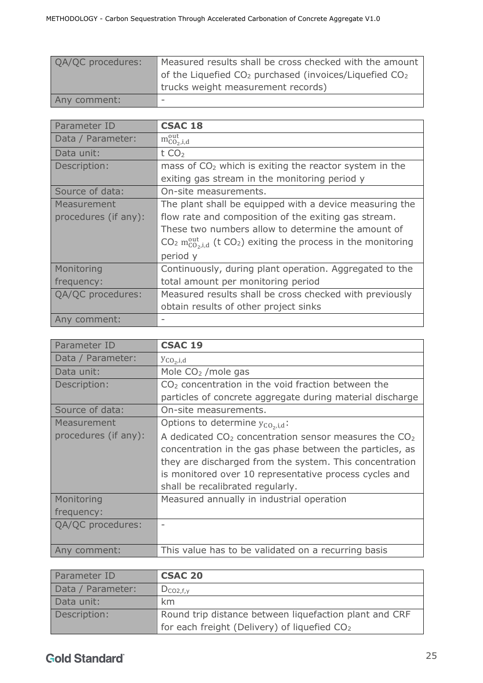| QA/QC procedures: | Measured results shall be cross checked with the amount    |
|-------------------|------------------------------------------------------------|
|                   | of the Liquefied $CO2$ purchased (invoices/Liquefied $CO2$ |
|                   | trucks weight measurement records)                         |
| Any comment:      | $\overline{\phantom{a}}$                                   |

| Parameter ID         | <b>CSAC 18</b>                                                              |
|----------------------|-----------------------------------------------------------------------------|
| Data / Parameter:    | $m_{CO_2,i,d}^{out}$                                                        |
| Data unit:           | t $CO2$                                                                     |
| Description:         | mass of $CO2$ which is exiting the reactor system in the                    |
|                      | exiting gas stream in the monitoring period y                               |
| Source of data:      | On-site measurements.                                                       |
| Measurement          | The plant shall be equipped with a device measuring the                     |
| procedures (if any): | flow rate and composition of the exiting gas stream.                        |
|                      | These two numbers allow to determine the amount of                          |
|                      | $CO2$ $m_{CO2, i,d}^{out}$ (t $CO2$ ) exiting the process in the monitoring |
|                      | period y                                                                    |
| Monitoring           | Continuously, during plant operation. Aggregated to the                     |
| frequency:           | total amount per monitoring period                                          |
| QA/QC procedures:    | Measured results shall be cross checked with previously                     |
|                      | obtain results of other project sinks                                       |
| Any comment:         |                                                                             |

| Parameter ID         | <b>CSAC 19</b>                                            |
|----------------------|-----------------------------------------------------------|
| Data / Parameter:    | $y_{CO_2,i,d}$                                            |
| Data unit:           | Mole $CO2$ /mole gas                                      |
| Description:         | $CO2$ concentration in the void fraction between the      |
|                      | particles of concrete aggregate during material discharge |
| Source of data:      | On-site measurements.                                     |
| Measurement          | Options to determine $y_{CO_2,i,d}$ :                     |
| procedures (if any): | A dedicated $CO2$ concentration sensor measures the $CO2$ |
|                      | concentration in the gas phase between the particles, as  |
|                      | they are discharged from the system. This concentration   |
|                      | is monitored over 10 representative process cycles and    |
|                      | shall be recalibrated regularly.                          |
| Monitoring           | Measured annually in industrial operation                 |
| frequency:           |                                                           |
| QA/QC procedures:    |                                                           |
|                      |                                                           |
| Any comment:         | This value has to be validated on a recurring basis       |

| Parameter ID      | <b>CSAC 20</b>                                         |
|-------------------|--------------------------------------------------------|
| Data / Parameter: | $D_{CO2,f,y}$                                          |
| Data unit:        | km                                                     |
| Description:      | Round trip distance between liquefaction plant and CRF |
|                   | For each freight (Delivery) of liquefied $CO2$         |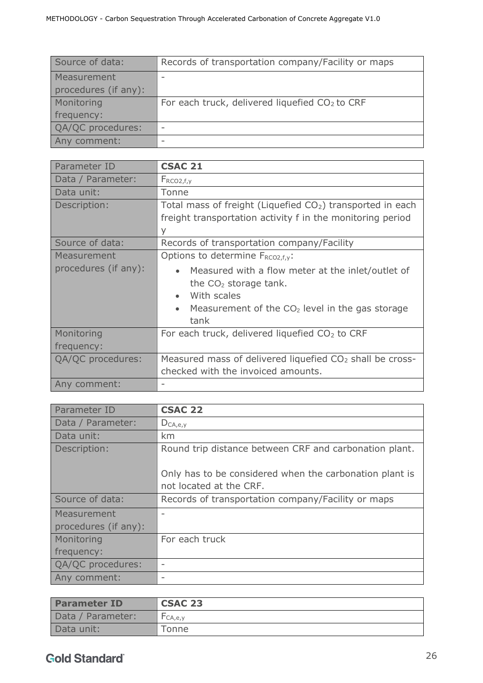| Source of data:      | Records of transportation company/Facility or maps         |
|----------------------|------------------------------------------------------------|
| Measurement          |                                                            |
| procedures (if any): |                                                            |
| Monitoring           | For each truck, delivered liquefied CO <sub>2</sub> to CRF |
| frequency:           |                                                            |
| QA/QC procedures:    | $\overline{\phantom{a}}$                                   |
| Any comment:         |                                                            |

| Parameter ID         | <b>CSAC 21</b>                                                       |
|----------------------|----------------------------------------------------------------------|
| Data / Parameter:    | $F_{RCO2,f,y}$                                                       |
| Data unit:           | Tonne                                                                |
| Description:         | Total mass of freight (Liquefied $CO2$ ) transported in each         |
|                      | freight transportation activity f in the monitoring period           |
|                      | V                                                                    |
| Source of data:      | Records of transportation company/Facility                           |
| Measurement          | Options to determine F <sub>RCO2,f,y</sub> :                         |
| procedures (if any): | • Measured with a flow meter at the inlet/outlet of                  |
|                      | the $CO2$ storage tank.                                              |
|                      | With scales<br>$\bullet$                                             |
|                      | Measurement of the $CO2$ level in the gas storage<br>$\bullet$       |
|                      | tank                                                                 |
| Monitoring           | For each truck, delivered liquefied $CO2$ to CRF                     |
| frequency:           |                                                                      |
| QA/QC procedures:    | Measured mass of delivered liquefied CO <sub>2</sub> shall be cross- |
|                      | checked with the invoiced amounts.                                   |
| Any comment:         |                                                                      |

| Parameter ID         | <b>CSAC 22</b>                                                                     |
|----------------------|------------------------------------------------------------------------------------|
| Data / Parameter:    | $D_{CA, e, y}$                                                                     |
| Data unit:           | km                                                                                 |
| Description:         | Round trip distance between CRF and carbonation plant.                             |
|                      | Only has to be considered when the carbonation plant is<br>not located at the CRF. |
| Source of data:      | Records of transportation company/Facility or maps                                 |
| Measurement          |                                                                                    |
| procedures (if any): |                                                                                    |
| Monitoring           | For each truck                                                                     |
| frequency:           |                                                                                    |
| QA/QC procedures:    | $\overline{\phantom{a}}$                                                           |
| Any comment:         | -                                                                                  |

| <b>Parameter ID</b> | <b>CSAC 23</b>  |
|---------------------|-----------------|
| Data / Parameter:   | $\Gamma$ CA,e,y |
| Data unit:          | Tonne           |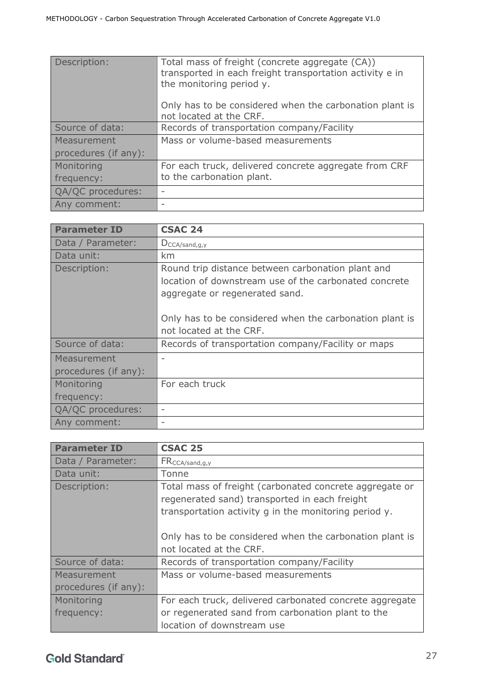| Description:         | Total mass of freight (concrete aggregate (CA))<br>transported in each freight transportation activity e in<br>the monitoring period y. |
|----------------------|-----------------------------------------------------------------------------------------------------------------------------------------|
|                      | Only has to be considered when the carbonation plant is<br>not located at the CRF.                                                      |
| Source of data:      | Records of transportation company/Facility                                                                                              |
| Measurement          | Mass or volume-based measurements                                                                                                       |
| procedures (if any): |                                                                                                                                         |
| Monitoring           | For each truck, delivered concrete aggregate from CRF                                                                                   |
| frequency:           | to the carbonation plant.                                                                                                               |
| QA/QC procedures:    |                                                                                                                                         |
| Any comment:         | ۰                                                                                                                                       |

| <b>Parameter ID</b>  | <b>CSAC 24</b>                                          |
|----------------------|---------------------------------------------------------|
| Data / Parameter:    | $D_{\text{CCA/sand},g,y}$                               |
| Data unit:           | km                                                      |
| Description:         | Round trip distance between carbonation plant and       |
|                      | location of downstream use of the carbonated concrete   |
|                      | aggregate or regenerated sand.                          |
|                      |                                                         |
|                      | Only has to be considered when the carbonation plant is |
|                      | not located at the CRF.                                 |
| Source of data:      | Records of transportation company/Facility or maps      |
| Measurement          |                                                         |
| procedures (if any): |                                                         |
| Monitoring           | For each truck                                          |
| frequency:           |                                                         |
| QA/QC procedures:    | -                                                       |
| Any comment:         | $\overline{\phantom{a}}$                                |

| <b>Parameter ID</b>  | <b>CSAC 25</b>                                          |
|----------------------|---------------------------------------------------------|
| Data / Parameter:    | FR <sub>CCA/sand, g, y</sub>                            |
| Data unit:           | Tonne                                                   |
| Description:         | Total mass of freight (carbonated concrete aggregate or |
|                      | regenerated sand) transported in each freight           |
|                      | transportation activity g in the monitoring period y.   |
|                      |                                                         |
|                      | Only has to be considered when the carbonation plant is |
|                      | not located at the CRF.                                 |
| Source of data:      | Records of transportation company/Facility              |
| <b>Measurement</b>   | Mass or volume-based measurements                       |
| procedures (if any): |                                                         |
| Monitoring           | For each truck, delivered carbonated concrete aggregate |
| frequency:           | or regenerated sand from carbonation plant to the       |
|                      | location of downstream use                              |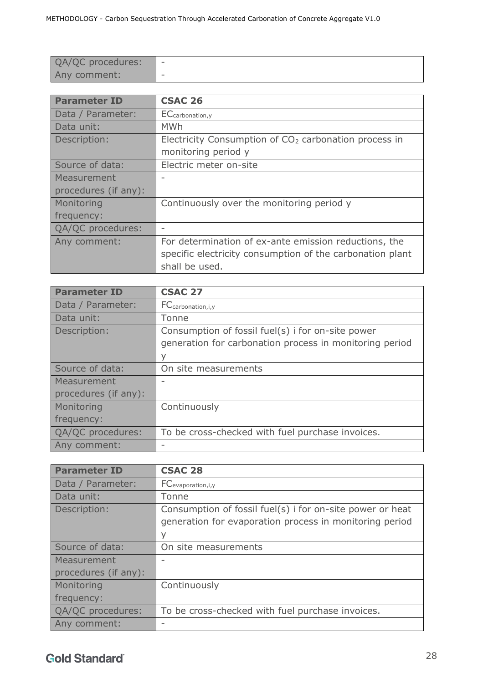| QA/QC procedures: |                          |
|-------------------|--------------------------|
| Any comment:      | $\overline{\phantom{a}}$ |

| <b>Parameter ID</b>  | <b>CSAC 26</b>                                                    |
|----------------------|-------------------------------------------------------------------|
| Data / Parameter:    | EC <sub>carbonation, y</sub>                                      |
| Data unit:           | <b>MWh</b>                                                        |
| Description:         | Electricity Consumption of CO <sub>2</sub> carbonation process in |
|                      | monitoring period y                                               |
| Source of data:      | Electric meter on-site                                            |
| Measurement          | $\overline{\phantom{a}}$                                          |
| procedures (if any): |                                                                   |
| Monitoring           | Continuously over the monitoring period y                         |
| frequency:           |                                                                   |
| QA/QC procedures:    | $\overline{\phantom{a}}$                                          |
| Any comment:         | For determination of ex-ante emission reductions, the             |
|                      | specific electricity consumption of the carbonation plant         |
|                      | shall be used.                                                    |

| <b>Parameter ID</b>  | <b>CSAC 27</b>                                          |
|----------------------|---------------------------------------------------------|
| Data / Parameter:    | FC <sub>carbonation, i, y</sub>                         |
| Data unit:           | Tonne                                                   |
| Description:         | Consumption of fossil fuel(s) i for on-site power       |
|                      | generation for carbonation process in monitoring period |
|                      | ٧                                                       |
| Source of data:      | On site measurements                                    |
| Measurement          |                                                         |
| procedures (if any): |                                                         |
| Monitoring           | Continuously                                            |
| frequency:           |                                                         |
| QA/QC procedures:    | To be cross-checked with fuel purchase invoices.        |
| Any comment:         | $\overline{\phantom{a}}$                                |

| <b>Parameter ID</b>  | <b>CSAC 28</b>                                            |
|----------------------|-----------------------------------------------------------|
| Data / Parameter:    | FC <sub>evaporation, i, y</sub>                           |
| Data unit:           | Tonne                                                     |
| Description:         | Consumption of fossil fuel(s) i for on-site power or heat |
|                      | generation for evaporation process in monitoring period   |
|                      | V                                                         |
| Source of data:      | On site measurements                                      |
| Measurement          | $\overline{\phantom{0}}$                                  |
| procedures (if any): |                                                           |
| Monitoring           | Continuously                                              |
| frequency:           |                                                           |
| QA/QC procedures:    | To be cross-checked with fuel purchase invoices.          |
| Any comment:         | -                                                         |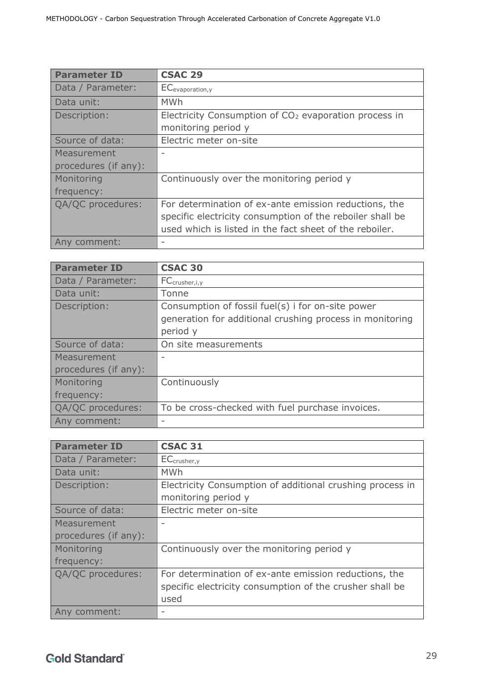| <b>Parameter ID</b>  | <b>CSAC 29</b>                                                    |
|----------------------|-------------------------------------------------------------------|
| Data / Parameter:    | EC <sub>evaporation, y</sub>                                      |
| Data unit:           | <b>MWh</b>                                                        |
| Description:         | Electricity Consumption of CO <sub>2</sub> evaporation process in |
|                      | monitoring period y                                               |
| Source of data:      | Electric meter on-site                                            |
| Measurement          |                                                                   |
| procedures (if any): |                                                                   |
| Monitoring           | Continuously over the monitoring period y                         |
| frequency:           |                                                                   |
| QA/QC procedures:    | For determination of ex-ante emission reductions, the             |
|                      | specific electricity consumption of the reboiler shall be         |
|                      | used which is listed in the fact sheet of the reboiler.           |
| Any comment:         |                                                                   |

| <b>Parameter ID</b>  | <b>CSAC 30</b>                                           |
|----------------------|----------------------------------------------------------|
| Data / Parameter:    | FC <sub>crusher,i,y</sub>                                |
| Data unit:           | Tonne                                                    |
| Description:         | Consumption of fossil fuel(s) i for on-site power        |
|                      | generation for additional crushing process in monitoring |
|                      | period y                                                 |
| Source of data:      | On site measurements                                     |
| Measurement          |                                                          |
| procedures (if any): |                                                          |
| Monitoring           | Continuously                                             |
| frequency:           |                                                          |
| QA/QC procedures:    | To be cross-checked with fuel purchase invoices.         |
| Any comment:         |                                                          |

| <b>Parameter ID</b>  | <b>CSAC 31</b>                                            |
|----------------------|-----------------------------------------------------------|
| Data / Parameter:    | EC <sub>crusher,y</sub>                                   |
| Data unit:           | <b>MWh</b>                                                |
| Description:         | Electricity Consumption of additional crushing process in |
|                      | monitoring period y                                       |
| Source of data:      | Electric meter on-site                                    |
| Measurement          |                                                           |
| procedures (if any): |                                                           |
| Monitoring           | Continuously over the monitoring period y                 |
| frequency:           |                                                           |
| QA/QC procedures:    | For determination of ex-ante emission reductions, the     |
|                      | specific electricity consumption of the crusher shall be  |
|                      | used                                                      |
| Any comment:         |                                                           |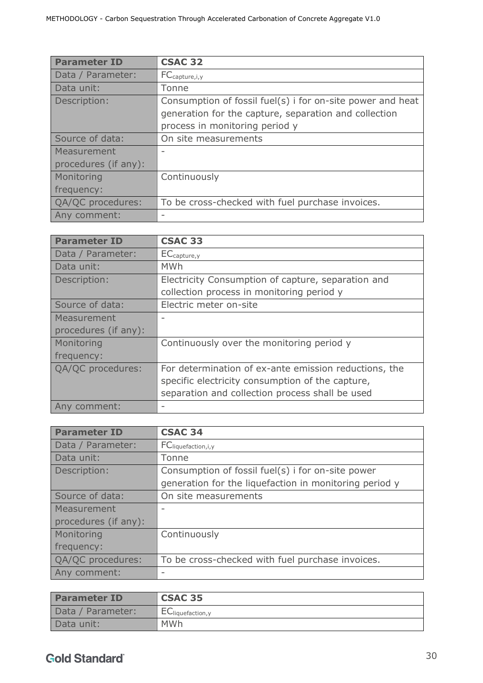| <b>Parameter ID</b>  | <b>CSAC 32</b>                                             |
|----------------------|------------------------------------------------------------|
| Data / Parameter:    | $FC_{\text{capture},i,y}$                                  |
| Data unit:           | Tonne                                                      |
| Description:         | Consumption of fossil fuel(s) i for on-site power and heat |
|                      | generation for the capture, separation and collection      |
|                      | process in monitoring period y                             |
| Source of data:      | On site measurements                                       |
| Measurement          |                                                            |
| procedures (if any): |                                                            |
| Monitoring           | Continuously                                               |
| frequency:           |                                                            |
| QA/QC procedures:    | To be cross-checked with fuel purchase invoices.           |
| Any comment:         |                                                            |

| <b>Parameter ID</b>  | <b>CSAC 33</b>                                        |
|----------------------|-------------------------------------------------------|
| Data / Parameter:    | EC <sub>capture, y</sub>                              |
| Data unit:           | <b>MWh</b>                                            |
| Description:         | Electricity Consumption of capture, separation and    |
|                      | collection process in monitoring period y             |
| Source of data:      | Electric meter on-site                                |
| Measurement          |                                                       |
| procedures (if any): |                                                       |
| Monitoring           | Continuously over the monitoring period y             |
| frequency:           |                                                       |
| QA/QC procedures:    | For determination of ex-ante emission reductions, the |
|                      | specific electricity consumption of the capture,      |
|                      | separation and collection process shall be used       |
| v comment:<br>An     |                                                       |

| <b>Parameter ID</b>  | <b>CSAC 34</b>                                         |
|----------------------|--------------------------------------------------------|
| Data / Parameter:    | FC <sub>liquefaction, i, y</sub>                       |
| Data unit:           | Tonne                                                  |
| Description:         | Consumption of fossil fuel(s) i for on-site power      |
|                      | generation for the liquefaction in monitoring period y |
| Source of data:      | On site measurements                                   |
| Measurement          |                                                        |
| procedures (if any): |                                                        |
| Monitoring           | Continuously                                           |
| frequency:           |                                                        |
| QA/QC procedures:    | To be cross-checked with fuel purchase invoices.       |
| Any comment:         |                                                        |

| <b>Parameter ID</b> | <b>CSAC 35</b>    |
|---------------------|-------------------|
| Data / Parameter:   | ECliquefaction, y |
| Data unit:          | <b>MWh</b>        |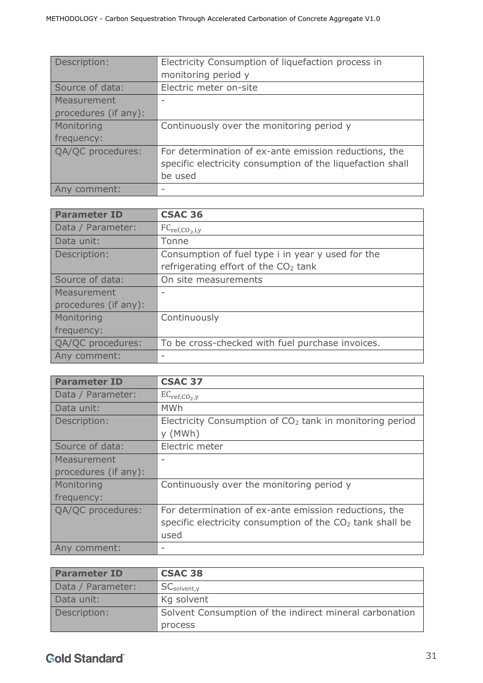| Description:         | Electricity Consumption of liquefaction process in         |
|----------------------|------------------------------------------------------------|
|                      | monitoring period y                                        |
| Source of data:      | Electric meter on-site                                     |
| Measurement          |                                                            |
| procedures (if any): |                                                            |
| Monitoring           | Continuously over the monitoring period y                  |
| frequency:           |                                                            |
| QA/QC procedures:    | For determination of ex-ante emission reductions, the      |
|                      | specific electricity consumption of the liquefaction shall |
|                      | be used                                                    |
| Any comment:         |                                                            |

| <b>Parameter ID</b>  | <b>CSAC 36</b>                                    |
|----------------------|---------------------------------------------------|
| Data / Parameter:    | $FC_{ref,CO_2,i,y}$                               |
| Data unit:           | Tonne                                             |
| Description:         | Consumption of fuel type i in year y used for the |
|                      | refrigerating effort of the $CO2$ tank            |
| Source of data:      | On site measurements                              |
| Measurement          |                                                   |
| procedures (if any): |                                                   |
| Monitoring           | Continuously                                      |
| frequency:           |                                                   |
| QA/QC procedures:    | To be cross-checked with fuel purchase invoices.  |
| Any comment:         |                                                   |

| <b>Parameter ID</b>  | <b>CSAC 37</b>                                                        |
|----------------------|-----------------------------------------------------------------------|
| Data / Parameter:    | $EC_{ref,CO_2,y}$                                                     |
| Data unit:           | <b>MWh</b>                                                            |
| Description:         | Electricity Consumption of $CO2$ tank in monitoring period            |
|                      | y (MWh)                                                               |
| Source of data:      | Electric meter                                                        |
| Measurement          |                                                                       |
| procedures (if any): |                                                                       |
| Monitoring           | Continuously over the monitoring period y                             |
| frequency:           |                                                                       |
| QA/QC procedures:    | For determination of ex-ante emission reductions, the                 |
|                      | specific electricity consumption of the CO <sub>2</sub> tank shall be |
|                      | used                                                                  |
| Any comment:         |                                                                       |

| <b>Parameter ID</b> | <b>CSAC 38</b>                                          |
|---------------------|---------------------------------------------------------|
| Data / Parameter:   | SC <sub>solvent,y</sub>                                 |
| Data unit:          | Kg solvent                                              |
| Description:        | Solvent Consumption of the indirect mineral carbonation |
|                     | process                                                 |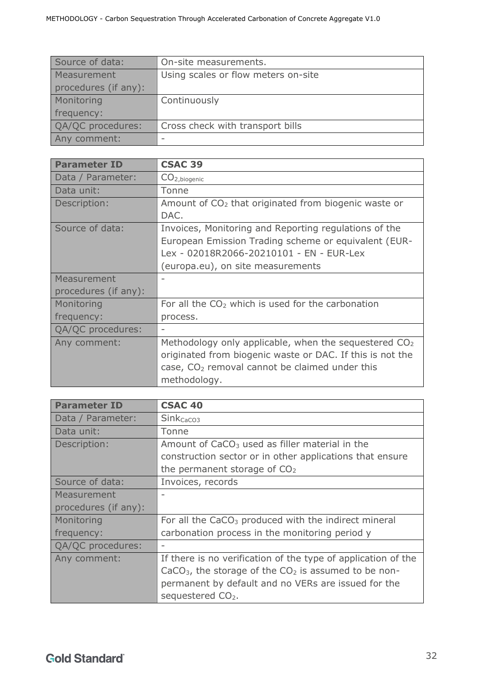| Source of data:      | On-site measurements.               |
|----------------------|-------------------------------------|
| Measurement          | Using scales or flow meters on-site |
| procedures (if any): |                                     |
| Monitoring           | Continuously                        |
| frequency:           |                                     |
| QA/QC procedures:    | Cross check with transport bills    |
| Any comment:         | $\overline{\phantom{a}}$            |

| <b>Parameter ID</b>  | <b>CSAC 39</b>                                                    |
|----------------------|-------------------------------------------------------------------|
| Data / Parameter:    | CO <sub>2</sub> , biogenic                                        |
| Data unit:           | Tonne                                                             |
| Description:         | Amount of $CO2$ that originated from biogenic waste or            |
|                      | DAC.                                                              |
| Source of data:      | Invoices, Monitoring and Reporting regulations of the             |
|                      | European Emission Trading scheme or equivalent (EUR-              |
|                      | Lex - 02018R2066-20210101 - EN - EUR-Lex                          |
|                      | (europa.eu), on site measurements                                 |
| Measurement          |                                                                   |
| procedures (if any): |                                                                   |
| Monitoring           | For all the $CO2$ which is used for the carbonation               |
| frequency:           | process.                                                          |
| QA/QC procedures:    |                                                                   |
| Any comment:         | Methodology only applicable, when the sequestered CO <sub>2</sub> |
|                      | originated from biogenic waste or DAC. If this is not the         |
|                      | case, CO <sub>2</sub> removal cannot be claimed under this        |
|                      | methodology.                                                      |

| <b>Parameter ID</b>  | <b>CSAC 40</b>                                                |
|----------------------|---------------------------------------------------------------|
| Data / Parameter:    | Sink <sub>CaCO3</sub>                                         |
| Data unit:           | Tonne                                                         |
| Description:         | Amount of $CaCO3$ used as filler material in the              |
|                      | construction sector or in other applications that ensure      |
|                      | the permanent storage of $CO2$                                |
| Source of data:      | Invoices, records                                             |
| Measurement          |                                                               |
| procedures (if any): |                                                               |
| Monitoring           | For all the $CaCO3$ produced with the indirect mineral        |
| frequency:           | carbonation process in the monitoring period y                |
| QA/QC procedures:    |                                                               |
| Any comment:         | If there is no verification of the type of application of the |
|                      | $CaCO3$ , the storage of the $CO2$ is assumed to be non-      |
|                      | permanent by default and no VERs are issued for the           |
|                      | sequestered $CO2$ .                                           |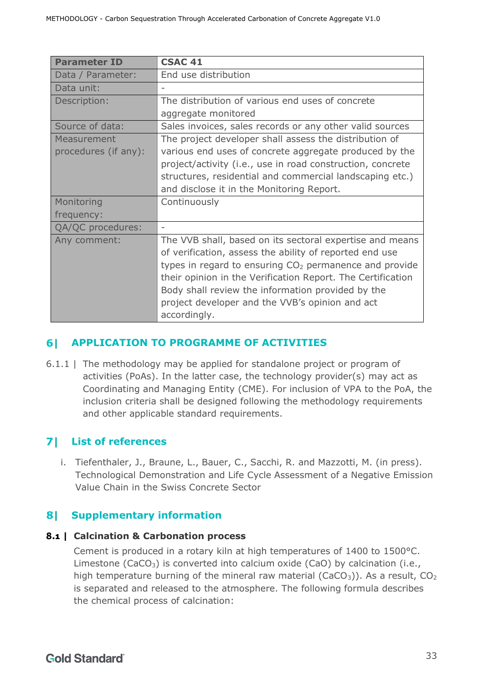| <b>Parameter ID</b>  | <b>CSAC 41</b>                                                     |
|----------------------|--------------------------------------------------------------------|
| Data / Parameter:    | End use distribution                                               |
| Data unit:           |                                                                    |
| Description:         | The distribution of various end uses of concrete                   |
|                      | aggregate monitored                                                |
| Source of data:      | Sales invoices, sales records or any other valid sources           |
| Measurement          | The project developer shall assess the distribution of             |
| procedures (if any): | various end uses of concrete aggregate produced by the             |
|                      | project/activity (i.e., use in road construction, concrete         |
|                      | structures, residential and commercial landscaping etc.)           |
|                      | and disclose it in the Monitoring Report.                          |
| Monitoring           | Continuously                                                       |
| frequency:           |                                                                    |
| QA/QC procedures:    | $\overline{\phantom{a}}$                                           |
| Any comment:         | The VVB shall, based on its sectoral expertise and means           |
|                      | of verification, assess the ability of reported end use            |
|                      | types in regard to ensuring CO <sub>2</sub> permanence and provide |
|                      | their opinion in the Verification Report. The Certification        |
|                      | Body shall review the information provided by the                  |
|                      | project developer and the VVB's opinion and act                    |
|                      | accordingly.                                                       |

#### <span id="page-32-0"></span>**APPLICATION TO PROGRAMME OF ACTIVITIES** 61

6.1.1 | The methodology may be applied for standalone project or program of activities (PoAs). In the latter case, the technology provider(s) may act as Coordinating and Managing Entity (CME). For inclusion of VPA to the PoA, the inclusion criteria shall be designed following the methodology requirements and other applicable standard requirements.

# <span id="page-32-1"></span>**List of references**

i. Tiefenthaler, J., Braune, L., Bauer, C., Sacchi, R. and Mazzotti, M. (in press). Technological Demonstration and Life Cycle Assessment of a Negative Emission Value Chain in the Swiss Concrete Sector

#### <span id="page-32-2"></span>81 **Supplementary information**

# <span id="page-32-3"></span>**8.1 | Calcination & Carbonation process**

Cement is produced in a rotary kiln at high temperatures of 1400 to 1500°C. Limestone (CaCO<sub>3</sub>) is converted into calcium oxide (CaO) by calcination (i.e., high temperature burning of the mineral raw material (CaCO<sub>3</sub>)). As a result,  $CO<sub>2</sub>$ is separated and released to the atmosphere. The following formula describes the chemical process of calcination: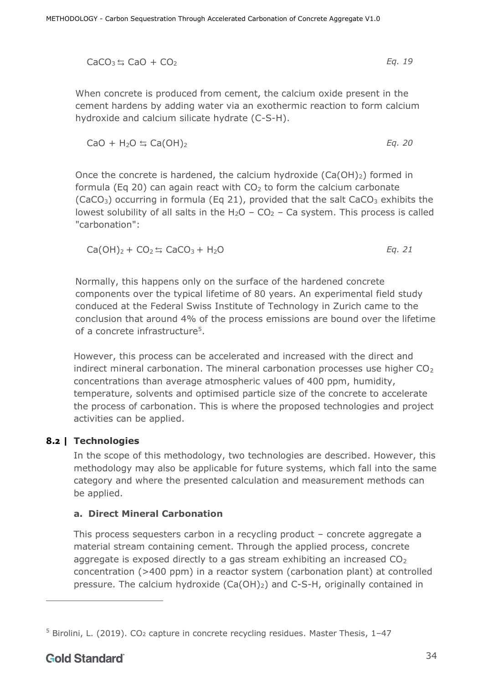$$
CaCO3 \leq CaO + CO2
$$

When concrete is produced from cement, the calcium oxide present in the cement hardens by adding water via an exothermic reaction to form calcium hydroxide and calcium silicate hydrate (C-S-H).

$$
CaO + H_2O \le Ca(OH)_2
$$

Once the concrete is hardened, the calcium hydroxide  $(Ca(OH)_2)$  formed in formula (Eq 20) can again react with  $CO<sub>2</sub>$  to form the calcium carbonate  $(CaCO<sub>3</sub>)$  occurring in formula (Eq 21), provided that the salt CaCO<sub>3</sub> exhibits the lowest solubility of all salts in the  $H_2O - CO_2 - Ca$  system. This process is called "carbonation":

$$
Ca(OH)_2 + CO_2 \leftrightarrows CaCO_3 + H_2O
$$
 Eq. 21

Normally, this happens only on the surface of the hardened concrete components over the typical lifetime of 80 years. An experimental field study conduced at the Federal Swiss Institute of Technology in Zurich came to the conclusion that around 4% of the process emissions are bound over the lifetime of a concrete infrastructure<sup>5</sup>.

However, this process can be accelerated and increased with the direct and indirect mineral carbonation. The mineral carbonation processes use higher  $CO<sub>2</sub>$ concentrations than average atmospheric values of 400 ppm, humidity, temperature, solvents and optimised particle size of the concrete to accelerate the process of carbonation. This is where the proposed technologies and project activities can be applied.

# <span id="page-33-0"></span>**8.2 | Technologies**

In the scope of this methodology, two technologies are described. However, this methodology may also be applicable for future systems, which fall into the same category and where the presented calculation and measurement methods can be applied.

### **a. Direct Mineral Carbonation**

This process sequesters carbon in a recycling product – concrete aggregate a material stream containing cement. Through the applied process, concrete aggregate is exposed directly to a gas stream exhibiting an increased  $CO<sub>2</sub>$ concentration (>400 ppm) in a reactor system (carbonation plant) at controlled pressure. The calcium hydroxide  $(Ca(OH)_2)$  and C-S-H, originally contained in

 $5$  Birolini, L. (2019). CO<sub>2</sub> capture in concrete recycling residues. Master Thesis, 1-47